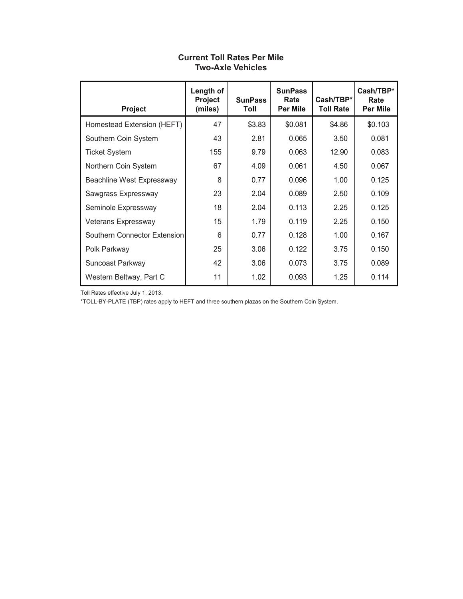| Project                      | Length of<br>Project<br>(miles) | <b>SunPass</b><br>Toll | <b>SunPass</b><br>Rate<br>Per Mile | Cash/TBP*<br>Toll Rate | Cash/TBP*<br>Rate<br><b>Per Mile</b> |
|------------------------------|---------------------------------|------------------------|------------------------------------|------------------------|--------------------------------------|
| Homestead Extension (HEFT)   | 47                              | \$3.83                 | \$0.081                            | \$4.86                 | \$0.103                              |
| Southern Coin System         | 43                              | 2.81                   | 0.065                              | 3.50                   | 0.081                                |
| <b>Ticket System</b>         | 155                             | 9.79                   | 0.063                              | 12.90                  | 0.083                                |
| Northern Coin System         | 67                              | 4.09                   | 0.061                              | 4.50                   | 0.067                                |
| Beachline West Expressway    | 8                               | 0.77                   | 0.096                              | 1.00                   | 0.125                                |
| Sawgrass Expressway          | 23                              | 2.04                   | 0.089                              | 2.50                   | 0.109                                |
| Seminole Expressway          | 18                              | 2.04                   | 0.113                              | 2.25                   | 0.125                                |
| Veterans Expressway          | 15                              | 1.79                   | 0.119                              | 2.25                   | 0.150                                |
| Southern Connector Extension | 6                               | 0.77                   | 0.128                              | 1.00                   | 0.167                                |
| Polk Parkway                 | 25                              | 3.06                   | 0.122                              | 3.75                   | 0.150                                |
| Suncoast Parkway             | 42                              | 3.06                   | 0.073                              | 3.75                   | 0.089                                |
| Western Beltway, Part C      | 11                              | 1.02                   | 0.093                              | 1.25                   | 0.114                                |

#### **Current Toll Rates Per Mile Two-Axle Vehicles**

Toll Rates effective July 1, 2013.

\*TOLL-BY-PLATE (TBP) rates apply to HEFT and three southern plazas on the Southern Coin System.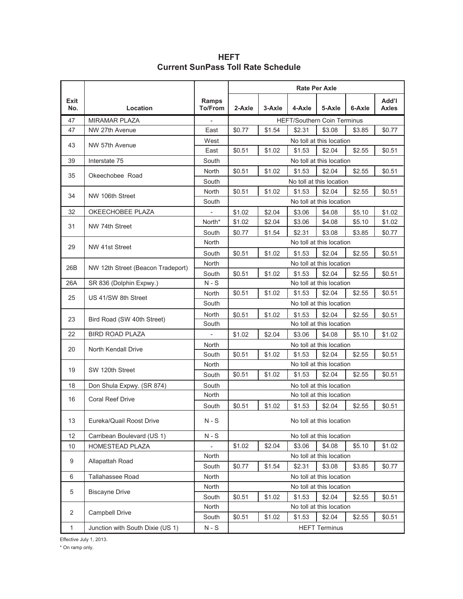|                |                                   |                          | <b>Rate Per Axle</b> |        |        |                                    |        |                       |  |  |
|----------------|-----------------------------------|--------------------------|----------------------|--------|--------|------------------------------------|--------|-----------------------|--|--|
| Exit<br>No.    | Location                          | Ramps<br>To/From         | 2-Axle               | 3-Axle | 4-Axle | 5-Axle                             | 6-Axle | Add'l<br><b>Axles</b> |  |  |
| 47             | <b>MIRAMAR PLAZA</b>              |                          |                      |        |        | <b>HEFT/Southern Coin Terminus</b> |        |                       |  |  |
| 47             | NW 27th Avenue                    | East                     | \$0.77               | \$1.54 | \$2.31 | \$3.08                             | \$3.85 | \$0.77                |  |  |
| 43             | NW 57th Avenue                    | West                     |                      |        |        | No toll at this location           |        |                       |  |  |
|                |                                   | East                     | \$0.51               | \$1.02 | \$1.53 | \$2.04                             | \$2.55 | \$0.51                |  |  |
| 39             | Interstate 75                     | South                    |                      |        |        | No toll at this location           |        |                       |  |  |
| 35             | Okeechobee Road                   | North                    | \$0.51               | \$1.02 | \$1.53 | \$2.04                             | \$2.55 | \$0.51                |  |  |
|                |                                   | South                    |                      |        |        | No toll at this location           |        |                       |  |  |
| 34             | NW 106th Street                   | <b>North</b>             | \$0.51               | \$1.02 | \$1.53 | \$2.04                             | \$2.55 | \$0.51                |  |  |
|                |                                   | South                    |                      |        |        | No toll at this location           |        |                       |  |  |
| 32             | OKEECHOBEE PLAZA                  |                          | \$1.02               | \$2.04 | \$3.06 | \$4.08                             | \$5.10 | \$1.02                |  |  |
| 31             | NW 74th Street                    | North*                   | \$1.02               | \$2.04 | \$3.06 | \$4.08                             | \$5.10 | \$1.02                |  |  |
|                |                                   | South                    | \$0.77               | \$1.54 | \$2.31 | \$3.08                             | \$3.85 | \$0.77                |  |  |
| 29             | NW 41st Street                    | <b>North</b>             |                      |        |        | No toll at this location           |        |                       |  |  |
|                |                                   | South                    | \$0.51               | \$1.02 | \$1.53 | \$2.04                             | \$2.55 | \$0.51                |  |  |
|                |                                   | North                    |                      |        |        | No toll at this location           |        |                       |  |  |
| 26B            | NW 12th Street (Beacon Tradeport) | South                    | \$0.51               | \$1.02 | \$1.53 | \$2.04                             | \$2.55 | \$0.51                |  |  |
| 26A            | SR 836 (Dolphin Expwy.)           | $N-S$                    |                      |        |        | No toll at this location           |        |                       |  |  |
| 25             | US 41/SW 8th Street               | <b>North</b>             | \$0.51               | \$1.02 | \$1.53 | \$2.04                             | \$2.55 | \$0.51                |  |  |
|                |                                   | South                    |                      |        |        | No toll at this location           |        |                       |  |  |
|                |                                   | North                    | \$0.51               | \$1.02 | \$1.53 | \$2.04                             | \$2.55 | \$0.51                |  |  |
| 23             | Bird Road (SW 40th Street)        | South                    |                      |        |        | No toll at this location           |        |                       |  |  |
| 22             | <b>BIRD ROAD PLAZA</b>            | $\overline{\phantom{a}}$ | \$1.02               | \$2.04 | \$3.06 | \$4.08                             | \$5.10 | \$1.02                |  |  |
|                |                                   | North                    |                      |        |        | No toll at this location           |        |                       |  |  |
| 20             | North Kendall Drive               | South                    | \$0.51               | \$1.02 | \$1.53 | \$2.04                             | \$2.55 | \$0.51                |  |  |
|                |                                   | North                    |                      |        |        | No toll at this location           |        |                       |  |  |
| 19             | SW 120th Street                   | South                    | \$0.51               | \$1.02 | \$1.53 | \$2.04                             | \$2.55 | \$0.51                |  |  |
| 18             | Don Shula Expwy. (SR 874)         | South                    |                      |        |        | No toll at this location           |        |                       |  |  |
|                |                                   | North                    |                      |        |        | No toll at this location           |        |                       |  |  |
| 16             | <b>Coral Reef Drive</b>           | South                    | \$0.51               | \$1.02 | \$1.53 | \$2.04                             | \$2.55 | \$0.51                |  |  |
| 13             | Eureka/Quail Roost Drive          | $N-S$                    |                      |        |        | No toll at this location           |        |                       |  |  |
| 12             | Carribean Boulevard (US 1)        | $N-S$                    |                      |        |        | No toll at this location           |        |                       |  |  |
| 10             | HOMESTEAD PLAZA                   |                          | \$1.02               | \$2.04 | \$3.06 | \$4.08                             | \$5.10 | \$1.02                |  |  |
|                |                                   | North                    |                      |        |        | No toll at this location           |        |                       |  |  |
| 9              | Allapattah Road                   | South                    | \$0.77               | \$1.54 | \$2.31 | \$3.08                             | \$3.85 | \$0.77                |  |  |
| 6              | Tallahassee Road                  | North                    |                      |        |        | No toll at this location           |        |                       |  |  |
|                |                                   | North                    |                      |        |        | No toll at this location           |        |                       |  |  |
| 5              | <b>Biscayne Drive</b>             | South                    | \$0.51               | \$1.02 | \$1.53 | \$2.04                             | \$2.55 | \$0.51                |  |  |
|                |                                   | North                    |                      |        |        | No toll at this location           |        |                       |  |  |
| $\overline{2}$ | Campbell Drive                    | South                    | \$0.51               | \$1.02 | \$1.53 | \$2.04                             | \$2.55 | \$0.51                |  |  |
| $\mathbf{1}$   | Junction with South Dixie (US 1)  | $N-S$                    |                      |        |        | <b>HEFT Terminus</b>               |        |                       |  |  |

**HEFT Current SunPass Toll Rate Schedule**

Effective July 1, 2013.

\* On ramp only.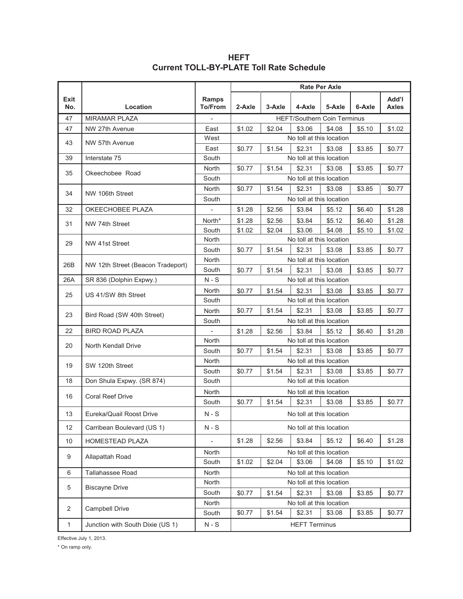|              |                                   |                          | <b>Rate Per Axle</b> |        |                          |                                    |        |                       |  |  |  |
|--------------|-----------------------------------|--------------------------|----------------------|--------|--------------------------|------------------------------------|--------|-----------------------|--|--|--|
| Exit<br>No.  | Location                          | Ramps<br><b>To/From</b>  | 2-Axle               | 3-Axle | 4-Axle                   | 5-Axle                             | 6-Axle | Add'l<br><b>Axles</b> |  |  |  |
| 47           | <b>MIRAMAR PLAZA</b>              | $\overline{\phantom{a}}$ |                      |        |                          | <b>HEFT/Southern Coin Terminus</b> |        |                       |  |  |  |
| 47           | NW 27th Avenue                    | East                     | \$1.02               | \$2.04 | \$3.06                   | \$4.08                             | \$5.10 | \$1.02                |  |  |  |
| 43           | NW 57th Avenue                    | West                     |                      |        | No toll at this location |                                    |        |                       |  |  |  |
|              |                                   | East                     | \$0.77               | \$1.54 | \$2.31                   | \$3.08                             | \$3.85 | \$0.77                |  |  |  |
| 39           | Interstate 75                     | South                    |                      |        | No toll at this location |                                    |        |                       |  |  |  |
| 35           | Okeechobee Road                   | <b>North</b>             | \$0.77               | \$1.54 | \$2.31                   | \$3.08                             | \$3.85 | \$0.77                |  |  |  |
|              |                                   | South                    |                      |        | No toll at this location |                                    |        |                       |  |  |  |
| 34           | NW 106th Street                   | North                    | \$0.77               | \$1.54 | \$2.31                   | \$3.08                             | \$3.85 | \$0.77                |  |  |  |
|              |                                   | South                    |                      |        | No toll at this location |                                    |        |                       |  |  |  |
| 32           | OKEECHOBEE PLAZA                  | $\overline{\phantom{a}}$ | \$1.28               | \$2.56 | \$3.84                   | \$5.12                             | \$6.40 | \$1.28                |  |  |  |
| 31           | NW 74th Street                    | North*                   | \$1.28               | \$2.56 | \$3.84                   | \$5.12                             | \$6.40 | \$1.28                |  |  |  |
|              |                                   | South                    | \$1.02               | \$2.04 | \$3.06                   | \$4.08                             | \$5.10 | \$1.02                |  |  |  |
| 29           | NW 41st Street                    | North                    |                      |        | No toll at this location |                                    |        |                       |  |  |  |
|              |                                   | South                    | \$0.77               | \$1.54 | \$2.31                   | \$3.08                             | \$3.85 | \$0.77                |  |  |  |
| 26B          | NW 12th Street (Beacon Tradeport) | North                    |                      |        | No toll at this location |                                    |        |                       |  |  |  |
|              |                                   | South                    | \$0.77               | \$1.54 | \$2.31                   | \$3.08                             | \$3.85 | \$0.77                |  |  |  |
| 26A          | SR 836 (Dolphin Expwy.)           | $N-S$                    |                      |        | No toll at this location |                                    |        |                       |  |  |  |
| 25           | US 41/SW 8th Street               | North                    | \$0.77               | \$1.54 | \$2.31                   | \$3.08                             | \$3.85 | \$0.77                |  |  |  |
|              |                                   | South                    |                      |        | No toll at this location |                                    |        |                       |  |  |  |
| 23           | Bird Road (SW 40th Street)        | North                    | \$0.77               | \$1.54 | \$2.31                   | \$3.08                             | \$3.85 | \$0.77                |  |  |  |
|              |                                   | South                    |                      |        | No toll at this location |                                    |        |                       |  |  |  |
| 22           | <b>BIRD ROAD PLAZA</b>            |                          | \$1.28               | \$2.56 | \$3.84                   | \$5.12                             | \$6.40 | \$1.28                |  |  |  |
| 20           | North Kendall Drive               | North                    |                      |        | No toll at this location |                                    |        |                       |  |  |  |
|              |                                   | South                    | \$0.77               | \$1.54 | \$2.31                   | \$3.08                             | \$3.85 | \$0.77                |  |  |  |
| 19           | SW 120th Street                   | North                    |                      |        | No toll at this location |                                    |        |                       |  |  |  |
|              |                                   | South                    | \$0.77               | \$1.54 | \$2.31                   | \$3.08                             | \$3.85 | \$0.77                |  |  |  |
| 18           | Don Shula Expwy. (SR 874)         | South                    |                      |        | No toll at this location |                                    |        |                       |  |  |  |
| 16           | <b>Coral Reef Drive</b>           | North                    |                      |        | No toll at this location |                                    |        |                       |  |  |  |
|              |                                   | South                    | \$0.77               | \$1.54 | \$2.31                   | \$3.08                             | \$3.85 | \$0.77                |  |  |  |
| 13           | Eureka/Quail Roost Drive          | $N-S$                    |                      |        |                          | No toll at this location           |        |                       |  |  |  |
| 12           | Carribean Boulevard (US 1)        | $N-S$                    |                      |        |                          | No toll at this location           |        |                       |  |  |  |
| 10           | HOMESTEAD PLAZA                   | $\overline{\phantom{a}}$ | \$1.28               | \$2.56 | \$3.84                   | \$5.12                             | \$6.40 | \$1.28                |  |  |  |
| 9            | Allapattah Road                   | North                    |                      |        | No toll at this location |                                    |        |                       |  |  |  |
|              |                                   | South                    | \$1.02               | \$2.04 | \$3.06                   | \$4.08                             | \$5.10 | \$1.02                |  |  |  |
| 6            | Tallahassee Road                  | North                    |                      |        | No toll at this location |                                    |        |                       |  |  |  |
|              |                                   | North                    |                      |        |                          | No toll at this location           |        |                       |  |  |  |
| 5            | <b>Biscayne Drive</b>             | South                    | \$0.77               | \$1.54 | \$2.31                   | \$3.08                             | \$3.85 | \$0.77                |  |  |  |
|              |                                   | North                    |                      |        | No toll at this location |                                    |        |                       |  |  |  |
| 2            | Campbell Drive                    | South                    | \$0.77               | \$1.54 | \$2.31                   | \$3.08                             | \$3.85 | \$0.77                |  |  |  |
| $\mathbf{1}$ | Junction with South Dixie (US 1)  | $N-S$                    |                      |        | <b>HEFT Terminus</b>     |                                    |        |                       |  |  |  |

**HEFT Current TOLL-BY-PLATE Toll Rate Schedule**

\* On ramp only. Effective July 1, 2013.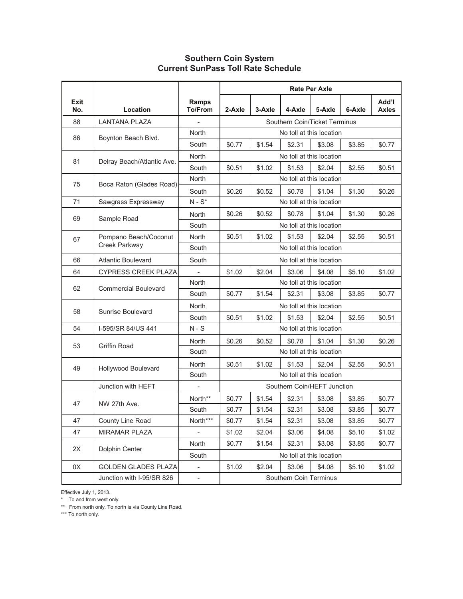#### **Southern Coin System Current SunPass Toll Rate Schedule**

|             |                             |                                | <b>Rate Per Axle</b>     |        |                               |        |        |                       |  |  |
|-------------|-----------------------------|--------------------------------|--------------------------|--------|-------------------------------|--------|--------|-----------------------|--|--|
| Exit<br>No. | Location                    | <b>Ramps</b><br><b>To/From</b> | 2-Axle                   | 3-Axle | 4-Axle                        | 5-Axle | 6-Axle | Add'l<br><b>Axles</b> |  |  |
| 88          | LANTANA PLAZA               |                                |                          |        | Southern Coin/Ticket Terminus |        |        |                       |  |  |
| 86          | Boynton Beach Blvd.         | North                          |                          |        | No toll at this location      |        |        |                       |  |  |
|             |                             | South                          | \$0.77                   | \$1.54 | \$2.31                        | \$3.08 | \$3.85 | \$0.77                |  |  |
| 81          | Delray Beach/Atlantic Ave.  | North                          |                          |        | No toll at this location      |        |        |                       |  |  |
|             |                             | South                          | \$0.51                   | \$1.02 | \$1.53                        | \$2.04 | \$2.55 | \$0.51                |  |  |
| 75          | Boca Raton (Glades Road)    | North                          |                          |        | No toll at this location      |        |        |                       |  |  |
|             |                             | South                          | \$0.26                   | \$0.52 | \$0.78                        | \$1.04 | \$1.30 | \$0.26                |  |  |
| 71          | Sawgrass Expressway         | $N - S^*$                      |                          |        | No toll at this location      |        |        |                       |  |  |
| 69          | Sample Road                 | North                          | \$0.26                   | \$0.52 | \$0.78                        | \$1.04 | \$1.30 | \$0.26                |  |  |
|             |                             | South                          |                          |        | No toll at this location      |        |        |                       |  |  |
| 67          | Pompano Beach/Coconut       | North                          | \$0.51                   | \$1.02 | \$1.53                        | \$2.04 | \$2.55 | \$0.51                |  |  |
|             | Creek Parkway               | South                          | No toll at this location |        |                               |        |        |                       |  |  |
| 66          | <b>Atlantic Boulevard</b>   | South                          | No toll at this location |        |                               |        |        |                       |  |  |
| 64          | <b>CYPRESS CREEK PLAZA</b>  | $\overline{\phantom{a}}$       | \$1.02                   | \$2.04 | \$3.06                        | \$4.08 | \$5.10 | \$1.02                |  |  |
| 62          | <b>Commercial Boulevard</b> | North                          |                          |        | No toll at this location      |        |        |                       |  |  |
|             |                             | South                          | \$0.77                   | \$1.54 | \$2.31                        | \$3.08 | \$3.85 | \$0.77                |  |  |
| 58          | Sunrise Boulevard           | North                          |                          |        | No toll at this location      |        |        |                       |  |  |
|             |                             | South                          | \$0.51                   | \$1.02 | \$1.53                        | \$2.04 | \$2.55 | \$0.51                |  |  |
| 54          | I-595/SR 84/US 441          | $N-S$                          |                          |        | No toll at this location      |        |        |                       |  |  |
| 53          | Griffin Road                | <b>North</b>                   | \$0.26                   | \$0.52 | \$0.78                        | \$1.04 | \$1.30 | \$0.26                |  |  |
|             |                             | South                          |                          |        | No toll at this location      |        |        |                       |  |  |
| 49          | Hollywood Boulevard         | North                          | \$0.51                   | \$1.02 | \$1.53                        | \$2.04 | \$2.55 | \$0.51                |  |  |
|             |                             | South                          |                          |        | No toll at this location      |        |        |                       |  |  |
|             | Junction with HEFT          | $\frac{1}{2}$                  |                          |        | Southern Coin/HEFT Junction   |        |        |                       |  |  |
| 47          | NW 27th Ave.                | North**                        | \$0.77                   | \$1.54 | \$2.31                        | \$3.08 | \$3.85 | \$0.77                |  |  |
|             |                             | South                          | \$0.77                   | \$1.54 | \$2.31                        | \$3.08 | \$3.85 | \$0.77                |  |  |
| 47          | County Line Road            | North***                       | \$0.77                   | \$1.54 | \$2.31                        | \$3.08 | \$3.85 | \$0.77                |  |  |
| 47          | <b>MIRAMAR PLAZA</b>        | $\frac{1}{2}$                  | \$1.02                   | \$2.04 | \$3.06                        | \$4.08 | \$5.10 | \$1.02                |  |  |
| 2X          | Dolphin Center              | North                          | \$0.77                   | \$1.54 | \$2.31                        | \$3.08 | \$3.85 | \$0.77                |  |  |
|             |                             | South                          |                          |        | No toll at this location      |        |        |                       |  |  |
| 0X          | <b>GOLDEN GLADES PLAZA</b>  | $\bar{\phantom{a}}$            | \$1.02                   | \$2.04 | \$3.06                        | \$4.08 | \$5.10 | \$1.02                |  |  |
|             | Junction with I-95/SR 826   | $\blacksquare$                 |                          |        | Southern Coin Terminus        |        |        |                       |  |  |

Effective July 1, 2013.

\* To and from west only.

\*\* From north only. To north is via County Line Road.

\*\*\* To north only.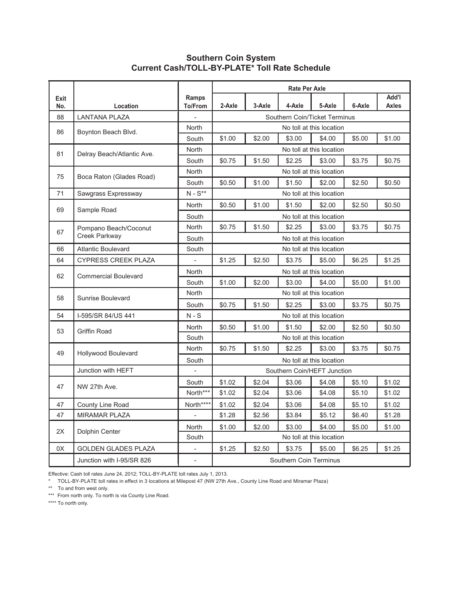#### **Southern Coin System Current Cash/TOLL-BY-PLATE\* Toll Rate Schedule**

|             |                                                     |                                   | <b>Rate Per Axle</b><br>l'bbA |        |                               |                          |        |              |  |  |  |
|-------------|-----------------------------------------------------|-----------------------------------|-------------------------------|--------|-------------------------------|--------------------------|--------|--------------|--|--|--|
| Exit<br>No. | Location                                            | Ramps<br>To/From                  | 2-Axle                        | 3-Axle | 4-Axle                        | 5-Axle                   | 6-Axle | <b>Axles</b> |  |  |  |
| 88          | <b>LANTANA PLAZA</b>                                |                                   |                               |        | Southern Coin/Ticket Terminus |                          |        |              |  |  |  |
| 86          | Boynton Beach Blvd.                                 | <b>North</b>                      |                               |        |                               | No toll at this location |        |              |  |  |  |
|             |                                                     | South                             | \$1.00                        | \$2.00 | \$3.00                        | \$4.00                   | \$5.00 | \$1.00       |  |  |  |
| 81          | Delray Beach/Atlantic Ave.                          | <b>North</b>                      |                               |        |                               | No toll at this location |        |              |  |  |  |
|             |                                                     | South                             | \$0.75                        | \$1.50 | \$2.25                        | \$3.00                   | \$3.75 | \$0.75       |  |  |  |
|             |                                                     | <b>North</b>                      |                               |        |                               | No toll at this location |        |              |  |  |  |
| 75          | Boca Raton (Glades Road)                            | South                             | \$0.50                        | \$2.50 | \$0.50                        |                          |        |              |  |  |  |
| 71          | Sawgrass Expressway                                 | $N - S^{**}$                      |                               |        |                               | No toll at this location |        |              |  |  |  |
|             |                                                     | <b>North</b>                      | \$0.50                        | \$1.00 | \$1.50                        | \$2.00                   | \$2.50 | \$0.50       |  |  |  |
| 69          | Sample Road                                         | South                             |                               |        |                               | No toll at this location |        |              |  |  |  |
|             | Pompano Beach/Coconut                               | North                             | \$0.75                        | \$0.75 |                               |                          |        |              |  |  |  |
| 67          | Creek Parkway                                       | South<br>No toll at this location |                               |        |                               |                          |        |              |  |  |  |
| 66          | <b>Atlantic Boulevard</b>                           | South                             |                               |        |                               | No toll at this location |        |              |  |  |  |
| 64          | <b>CYPRESS CREEK PLAZA</b>                          |                                   | \$1.25                        | \$2.50 | \$3.75                        | \$5.00                   | \$6.25 | \$1.25       |  |  |  |
| 62          | <b>Commercial Boulevard</b>                         | <b>North</b>                      |                               |        |                               | No toll at this location |        |              |  |  |  |
|             |                                                     | South                             | \$1.00                        | \$2.00 | \$3.00                        | \$4.00                   | \$5.00 | \$1.00       |  |  |  |
| 58          | Sunrise Boulevard                                   | North                             |                               |        |                               | No toll at this location |        |              |  |  |  |
|             |                                                     | South                             | \$0.75                        | \$1.50 | \$2.25                        | \$3.00                   | \$3.75 | \$0.75       |  |  |  |
| 54          | I-595/SR 84/US 441                                  | $N-S$                             |                               |        |                               | No toll at this location |        |              |  |  |  |
| 53          | <b>Griffin Road</b>                                 | North                             | \$0.50                        | \$1.00 | \$1.50                        | \$2.00                   | \$2.50 | \$0.50       |  |  |  |
|             |                                                     | South                             |                               |        |                               | No toll at this location |        |              |  |  |  |
| 49          | Hollywood Boulevard                                 | North                             | \$0.75                        | \$1.50 | \$2.25                        | \$3.00                   | \$3.75 | \$0.75       |  |  |  |
|             |                                                     | South                             |                               |        |                               | No toll at this location |        |              |  |  |  |
|             | Junction with HEFT                                  |                                   |                               |        | Southern Coin/HEFT Junction   |                          |        |              |  |  |  |
| 47          | NW 27th Ave.                                        | South                             | \$1.02                        | \$2.04 | \$3.06                        | \$4.08                   | \$5.10 | \$1.02       |  |  |  |
|             |                                                     | North***                          | \$1.02                        | \$2.04 | \$3.06                        | \$4.08                   | \$5.10 | \$1.02       |  |  |  |
| 47          | County Line Road                                    | North****                         | \$1.02                        | \$2.04 | \$3.06                        | \$4.08                   | \$5.10 | \$1.02       |  |  |  |
| 47          | <b>MIRAMAR PLAZA</b>                                |                                   | \$1.28                        | \$2.56 | \$3.84                        | \$5.12                   | \$6.40 | \$1.28       |  |  |  |
| 2X          |                                                     | North                             | \$1.00                        | \$2.00 | \$3.00                        | \$4.00                   | \$5.00 | \$1.00       |  |  |  |
|             | Dolphin Center                                      | South                             |                               |        |                               | No toll at this location |        |              |  |  |  |
| 0X          | <b>GOLDEN GLADES PLAZA</b>                          |                                   | \$1.25                        | \$2.50 | \$3.75                        | \$5.00                   | \$6.25 | \$1.25       |  |  |  |
|             | Southern Coin Terminus<br>Junction with I-95/SR 826 |                                   |                               |        |                               |                          |        |              |  |  |  |

Effective: Cash toll rates June 24, 2012; TOLL-BY-PLATE toll rates July 1, 2013.

\* TOLL-BY-PLATE toll rates in effect in 3 locations at Milepost 47 (NW 27th Ave., County Line Road and Miramar Plaza)

\*\* To and from west only.

\*\*\* From north only. To north is via County Line Road.

\*\*\*\* To north only.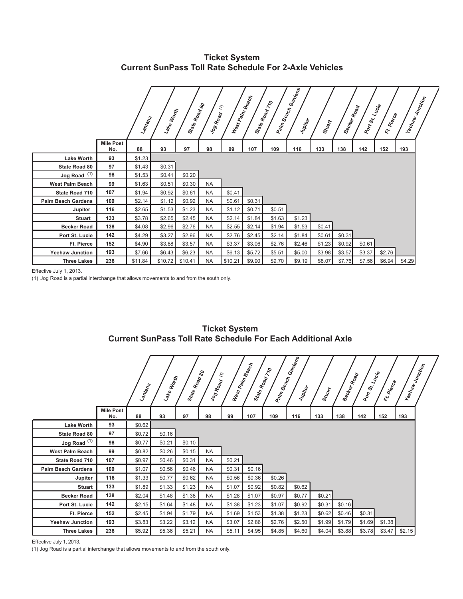**Ticket System Current SunPass Toll Rate Schedule For 2-Axle Vehicles**

|                           |                         | Lantana | Lake Worth | State Road<br>Moad | Jog Road  | $\tilde{\epsilon}$<br>West Palm | <b>Beach</b> | State Road 710 | Paim Beach<br>An Beach Gardens<br>Jupiter | Stuart | Becker Road | Port St. | Lucie<br>Ft. Pierce | Yeehaw Junction |
|---------------------------|-------------------------|---------|------------|--------------------|-----------|---------------------------------|--------------|----------------|-------------------------------------------|--------|-------------|----------|---------------------|-----------------|
|                           | <b>Mile Post</b><br>No. | 88      | 93         | 97                 | 98        | 99                              | 107          | 109            | 116                                       | 133    | 138         | 142      | 152                 | 193             |
| <b>Lake Worth</b>         | 93                      | \$1.23  |            |                    |           |                                 |              |                |                                           |        |             |          |                     |                 |
| State Road 80             | 97                      | \$1.43  | \$0.31     |                    |           |                                 |              |                |                                           |        |             |          |                     |                 |
| $Jog Road$ <sup>(1)</sup> | 98                      | \$1.53  | \$0.41     | \$0.20             |           |                                 |              |                |                                           |        |             |          |                     |                 |
| <b>West Palm Beach</b>    | 99                      | \$1.63  | \$0.51     | \$0.30             | <b>NA</b> |                                 |              |                |                                           |        |             |          |                     |                 |
| State Road 710            | 107                     | \$1.94  | \$0.92     | \$0.61             | <b>NA</b> | \$0.41                          |              |                |                                           |        |             |          |                     |                 |
| <b>Palm Beach Gardens</b> | 109                     | \$2.14  | \$1.12     | \$0.92             | <b>NA</b> | \$0.61                          | \$0.31       |                |                                           |        |             |          |                     |                 |
| Jupiter                   | 116                     | \$2.65  | \$1.53     | \$1.23             | <b>NA</b> | \$1.12                          | \$0.71       | \$0.51         |                                           |        |             |          |                     |                 |
| <b>Stuart</b>             | 133                     | \$3.78  | \$2.65     | \$2.45             | <b>NA</b> | \$2.14                          | \$1.84       | \$1.63         | \$1.23                                    |        |             |          |                     |                 |
| <b>Becker Road</b>        | 138                     | \$4.08  | \$2.96     | \$2.76             | <b>NA</b> | \$2.55                          | \$2.14       | \$1.94         | \$1.53                                    | \$0.41 |             |          |                     |                 |
| Port St. Lucie            | 142                     | \$4.29  | \$3.27     | \$2.96             | <b>NA</b> | \$2.76                          | \$2.45       | \$2.14         | \$1.84                                    | \$0.61 | \$0.31      |          |                     |                 |
| Ft. Pierce                | 152                     | \$4.90  | \$3.88     | \$3.57             | <b>NA</b> | \$3.37                          | \$3.06       | \$2.76         | \$2.46                                    | \$1.23 | \$0.92      | \$0.61   |                     |                 |
| <b>Yeehaw Junction</b>    | 193                     | \$7.66  | \$6.43     | \$6.23             | <b>NA</b> | \$6.13                          | \$5.72       | \$5.51         | \$5.00                                    | \$3.98 | \$3.57      | \$3.37   | \$2.76              |                 |
| <b>Three Lakes</b>        | 236                     | \$11.84 | \$10.72    | \$10.41            | <b>NA</b> | \$10.21                         | \$9.90       | \$9.70         | \$9.19                                    | \$8.07 | \$7.76      | \$7.56   | \$6.94              | \$4.29          |

Effective July 1, 2013.

(1) Jog Road is a partial interchange that allows movements to and from the south only.

|                           |                         | Lantana | Lake Worth | State Road<br>Moad 80 | Jog Road  | $\epsilon$ | West Palm Beach<br>State Road 70 |        | Paim Beach Gardens<br>Jupiter | Stuart  | Becker Road | Port St. | Lucie<br>Ft. Pierce | Yeehaw Junction |  |
|---------------------------|-------------------------|---------|------------|-----------------------|-----------|------------|----------------------------------|--------|-------------------------------|---------|-------------|----------|---------------------|-----------------|--|
|                           | <b>Mile Post</b><br>No. | 88      | 93         | 97                    | 98        | 99         | 107                              | 109    | 116                           | 133     | 138         | 142      | 152                 | 193             |  |
| <b>Lake Worth</b>         | 93                      | \$0.62  |            |                       |           |            |                                  |        |                               |         |             |          |                     |                 |  |
| State Road 80             | 97                      | \$0.72  | \$0.16     |                       |           |            |                                  |        |                               |         |             |          |                     |                 |  |
| Jog Road <sup>(1)</sup>   | 98                      | \$0.77  | \$0.21     | \$0.10                |           |            |                                  |        |                               |         |             |          |                     |                 |  |
| <b>West Palm Beach</b>    | 99                      | \$0.82  | \$0.26     | \$0.15                | <b>NA</b> |            |                                  |        |                               |         |             |          |                     |                 |  |
| <b>State Road 710</b>     | 107                     | \$0.97  | \$0.46     | \$0.31                | <b>NA</b> | \$0.21     |                                  |        |                               |         |             |          |                     |                 |  |
| <b>Palm Beach Gardens</b> | 109                     | \$1.07  | \$0.56     | \$0.46                | <b>NA</b> | \$0.31     | \$0.16                           |        |                               |         |             |          |                     |                 |  |
| Jupiter                   | 116                     | \$1.33  | \$0.77     | \$0.62                | <b>NA</b> | \$0.56     | \$0.36                           | \$0.26 |                               |         |             |          |                     |                 |  |
| <b>Stuart</b>             | 133                     | \$1.89  | \$1.33     | \$1.23                | <b>NA</b> | \$1.07     | \$0.92                           | \$0.82 | \$0.62                        |         |             |          |                     |                 |  |
| <b>Becker Road</b>        | 138                     | \$2.04  | \$1.48     | \$1.38                | <b>NA</b> | \$1.28     | \$1.07                           | \$0.97 | \$0.77                        | \$0.21  |             |          |                     |                 |  |
| Port St. Lucie            | 142                     | \$2.15  | \$1.64     | \$1.48                | <b>NA</b> | \$1.38     | \$1.23                           | \$1.07 | \$0.92                        | \$0.31  | \$0.16      |          |                     |                 |  |
| Ft. Pierce                | 152                     | \$2.45  | \$1.94     | \$1.79                | <b>NA</b> | \$1.69     | \$1.53                           | \$1.38 | \$1.23                        | \$0.62  | \$0.46      | \$0.31   |                     |                 |  |
| <b>Yeehaw Junction</b>    | 193                     | \$3.83  | \$3.22     | \$3.12                | <b>NA</b> | \$3.07     | \$2.86                           | \$2.76 | \$2.50                        | \$1.99  | \$1.79      | \$1.69   | \$1.38              |                 |  |
| <b>Three Lakes</b>        | 236                     | \$5.92  | \$5.36     | \$5.21                | <b>NA</b> | \$5.11     | \$4.95                           | \$4.85 | \$4.60                        | \$4.04] | \$3.88      | \$3.78   | \$3.47              | \$2.15          |  |

**Ticket System Current SunPass Toll Rate Schedule For Each Additional Axle**

Effective July 1, 2013.

(1) Jog Road is a partial interchange that allows movements to and from the south only.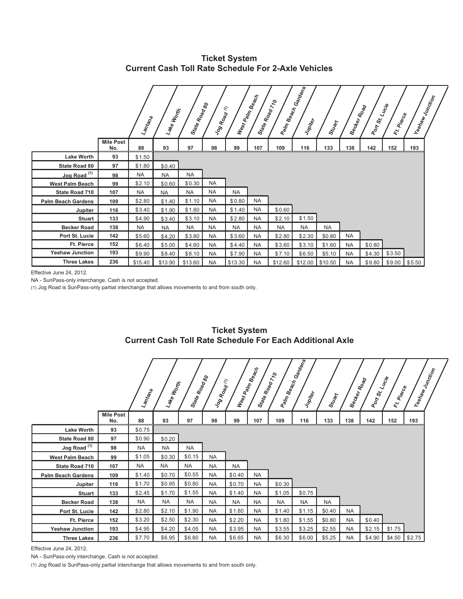**Ticket System Current Cash Toll Rate Schedule For 2-Axle Vehicles**

|                           |                         | Lamtana   | Lake Worth | State Road<br>Ale Road 80 | Jog Road  | $\epsilon$<br>West Palm | <b>Beach</b><br>State | Road 70 | Paim Beach<br>An Beach Gardens<br>Jupiter | Stuart            | Becker Road | Port St. Lucie | Ft Pierce | Yeehaw Junction |  |
|---------------------------|-------------------------|-----------|------------|---------------------------|-----------|-------------------------|-----------------------|---------|-------------------------------------------|-------------------|-------------|----------------|-----------|-----------------|--|
|                           | <b>Mile Post</b><br>No. | 88        | 93         | 97                        | 98        | 99                      | 107                   | 109     | 116                                       | 133               | 138         | 142            | 152       | 193             |  |
| <b>Lake Worth</b>         | 93                      | \$1.50    |            |                           |           |                         |                       |         |                                           |                   |             |                |           |                 |  |
| State Road 80             | 97                      | \$1.80    | \$0.40     |                           |           |                         |                       |         |                                           |                   |             |                |           |                 |  |
| Jog Road <sup>(1)</sup>   | 98                      | <b>NA</b> | <b>NA</b>  | <b>NA</b>                 |           |                         |                       |         |                                           |                   |             |                |           |                 |  |
| <b>West Palm Beach</b>    | 99                      | \$2.10    | \$0.60     | \$0.30                    | <b>NA</b> |                         |                       |         |                                           |                   |             |                |           |                 |  |
| State Road 710            | 107                     | <b>NA</b> | <b>NA</b>  | <b>NA</b>                 | <b>NA</b> | <b>NA</b>               |                       |         |                                           |                   |             |                |           |                 |  |
| <b>Palm Beach Gardens</b> | 109                     | \$2.80    | \$1.40     | \$1.10                    | <b>NA</b> | \$0.80                  | <b>NA</b>             |         |                                           |                   |             |                |           |                 |  |
| Jupiter                   | 116                     | \$3.40    | \$1.90     | \$1.60                    | <b>NA</b> | \$1.40                  | <b>NA</b>             | \$0.60  |                                           |                   |             |                |           |                 |  |
| <b>Stuart</b>             | 133                     | \$4.90    | \$3.40     | \$3.10                    | <b>NA</b> | \$2.80                  | <b>NA</b>             | \$2.10  | \$1.50                                    |                   |             |                |           |                 |  |
| <b>Becker Road</b>        | 138                     | <b>NA</b> | <b>NA</b>  | <b>NA</b>                 | <b>NA</b> | <b>NA</b>               | <b>NA</b>             | NA      | <b>NA</b>                                 | <b>NA</b>         |             |                |           |                 |  |
| Port St. Lucie            | 142                     | \$5.60    | \$4.20     | \$3.80                    | <b>NA</b> | \$3.60                  | <b>NA</b>             | \$2.80  | \$2.30                                    | \$0.80            | <b>NA</b>   |                |           |                 |  |
| Ft. Pierce                | 152                     | \$6.40    | \$5.00     | \$4.60                    | <b>NA</b> | \$4.40                  | <b>NA</b>             | \$3.60  | \$3.10                                    | \$1.60            | <b>NA</b>   | \$0.80         |           |                 |  |
| <b>Yeehaw Junction</b>    | 193                     | \$9.90    | \$8.40     | \$8.10                    | <b>NA</b> | \$7.90                  | <b>NA</b>             | \$7.10  | \$6.50                                    | \$5.10            | <b>NA</b>   | \$4.30         | \$3.50    |                 |  |
| <b>Three Lakes</b>        | 236                     | \$15.40   | \$13.90    | \$13.60                   | <b>NA</b> | \$13.30                 | <b>NA</b>             | \$12.60 |                                           | $$12.00$ \\$10.50 | <b>NA</b>   | \$9.80         |           | $$9.00$ $$5.50$ |  |

Effective June 24, 2012.

NA - SunPass-only interchange. Cash is not accepted.

(1) Jog Road is SunPass-only partial interchange that allows movements to and from south only.

|                           |                         | Lamtana   | Lake Worth | State Road<br>Moad 80 | Jog Road  | E         | West Palm Beach<br>State Road ; | $\gamma_{\rm c}$ | Paim Beach<br>An Beach Gardens<br>Jupiter | Stuart    | Becker Road | Port St. Lucie | Ft. Pierce | Yeehaw Junction |  |
|---------------------------|-------------------------|-----------|------------|-----------------------|-----------|-----------|---------------------------------|------------------|-------------------------------------------|-----------|-------------|----------------|------------|-----------------|--|
|                           | <b>Mile Post</b><br>No. | 88        | 93         | 97                    | 98        | 99        | 107                             | 109              | 116                                       | 133       | 138         | 142            | 152        | 193             |  |
| <b>Lake Worth</b>         | 93                      | \$0.75    |            |                       |           |           |                                 |                  |                                           |           |             |                |            |                 |  |
| State Road 80             | 97                      | \$0.90    | \$0.20     |                       |           |           |                                 |                  |                                           |           |             |                |            |                 |  |
| Jog Road <sup>(1)</sup>   | 98                      | <b>NA</b> | <b>NA</b>  | <b>NA</b>             |           |           |                                 |                  |                                           |           |             |                |            |                 |  |
| <b>West Palm Beach</b>    | 99                      | \$1.05    | \$0.30     | \$0.15                | <b>NA</b> |           |                                 |                  |                                           |           |             |                |            |                 |  |
| State Road 710            | 107                     | <b>NA</b> | <b>NA</b>  | <b>NA</b>             | <b>NA</b> | <b>NA</b> |                                 |                  |                                           |           |             |                |            |                 |  |
| <b>Palm Beach Gardens</b> | 109                     | \$1.40    | \$0.70     | \$0.55                | <b>NA</b> | \$0.40    | <b>NA</b>                       |                  |                                           |           |             |                |            |                 |  |
| Jupiter                   | 116                     | \$1.70    | \$0.95     | \$0.80                | <b>NA</b> | \$0.70    | <b>NA</b>                       | \$0.30           |                                           |           |             |                |            |                 |  |
| <b>Stuart</b>             | 133                     | \$2.45    | \$1.70     | \$1.55                | <b>NA</b> | \$1.40    | <b>NA</b>                       | \$1.05           | \$0.75                                    |           |             |                |            |                 |  |
| <b>Becker Road</b>        | 138                     | <b>NA</b> | <b>NA</b>  | <b>NA</b>             | <b>NA</b> | <b>NA</b> | <b>NA</b>                       | <b>NA</b>        | <b>NA</b>                                 | <b>NA</b> |             |                |            |                 |  |
| Port St. Lucie            | 142                     | \$2.80    | \$2.10     | \$1.90                | <b>NA</b> | \$1.80    | <b>NA</b>                       | \$1.40           | \$1.15                                    | \$0.40    | <b>NA</b>   |                |            |                 |  |
| Ft. Pierce                | 152                     | \$3.20    | \$2.50     | \$2.30                | <b>NA</b> | \$2.20    | <b>NA</b>                       | \$1.80           | \$1.55                                    | \$0.80    | <b>NA</b>   | \$0.40         |            |                 |  |
| <b>Yeehaw Junction</b>    | 193                     | \$4.95    | \$4.20     | \$4.05                | <b>NA</b> | \$3.95    | <b>NA</b>                       | \$3.55           | \$3.25                                    | \$2.55    | <b>NA</b>   | \$2.15         | \$1.75     |                 |  |
| <b>Three Lakes</b>        | 236                     | \$7.70    | \$6.95     | \$6.80                | <b>NA</b> | \$6.65    | <b>NA</b>                       | \$6.30           | \$6.00                                    | \$5.25    | <b>NA</b>   | \$4.90         | \$4.50     | \$2.75          |  |

#### **Ticket System Current Cash Toll Rate Schedule For Each Additional Axle**

Effective June 24, 2012.

NA - SunPass-only interchange. Cash is not accepted.

(1) Jog Road is SunPass-only partial interchange that allows movements to and from south only.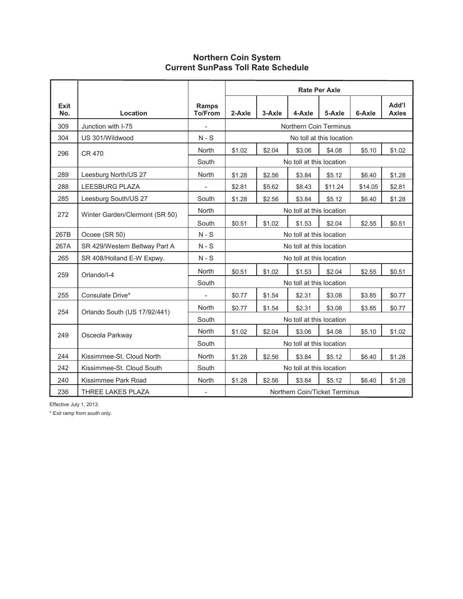#### **Northern Coin System Current SunPass Toll Rate Schedule**

|             |                                |                                | <b>Rate Per Axle</b> |        |                          |                               |         |                       |  |  |  |  |
|-------------|--------------------------------|--------------------------------|----------------------|--------|--------------------------|-------------------------------|---------|-----------------------|--|--|--|--|
| Exit<br>No. | Location                       | <b>Ramps</b><br><b>To/From</b> | 2-Axle               | 3-Axle | 4-Axle                   | 5-Axle                        | 6-Axle  | Add'l<br><b>Axles</b> |  |  |  |  |
| 309         | Junction with I-75             |                                |                      |        |                          | Northern Coin Terminus        |         |                       |  |  |  |  |
| 304         | US 301/Wildwood                | $N-S$                          |                      |        |                          | No toll at this location      |         |                       |  |  |  |  |
| 296         | <b>CR 470</b>                  | <b>North</b>                   | \$1.02               | \$2.04 | \$3.06                   | \$4.08                        | \$5.10  | \$1.02                |  |  |  |  |
|             |                                | South                          |                      |        | No toll at this location |                               |         |                       |  |  |  |  |
| 289         | Leesburg North/US 27           | <b>North</b>                   | \$1.28               | \$2.56 | \$3.84                   | \$5.12                        | \$6.40  | \$1.28                |  |  |  |  |
| 288         | <b>LEESBURG PLAZA</b>          |                                | \$2.81               | \$5.62 | \$8.43                   | \$11.24                       | \$14.05 | \$2.81                |  |  |  |  |
| 285         | Leesburg South/US 27           | South                          | \$1.28               | \$2.56 | \$3.84                   | \$5.12                        | \$6.40  | \$1.28                |  |  |  |  |
| 272         | Winter Garden/Clermont (SR 50) | <b>North</b>                   |                      |        | No toll at this location |                               |         |                       |  |  |  |  |
|             |                                | South                          | \$0.51               | \$1.02 | \$1.53                   | \$2.04                        | \$2.55  | \$0.51                |  |  |  |  |
| 267B        | Ocoee (SR 50)                  | $N-S$                          |                      |        | No toll at this location |                               |         |                       |  |  |  |  |
| 267A        | SR 429/Western Beltway Part A  | $N-S$                          |                      |        | No toll at this location |                               |         |                       |  |  |  |  |
| 265         | SR 408/Holland E-W Expwy.      | $N-S$                          |                      |        | No toll at this location |                               |         |                       |  |  |  |  |
| 259         | Orlando/I-4                    | <b>North</b>                   | \$0.51               | \$1.02 | \$1.53                   | \$2.04                        | \$2.55  | \$0.51                |  |  |  |  |
|             |                                | South                          |                      |        | No toll at this location |                               |         |                       |  |  |  |  |
| 255         | Consulate Drive*               |                                | \$0.77               | \$1.54 | \$2.31                   | \$3.08                        | \$3.85  | \$0.77                |  |  |  |  |
| 254         | Orlando South (US 17/92/441)   | <b>North</b>                   | \$0.77               | \$1.54 | \$2.31                   | \$3.08                        | \$3.85  | \$0.77                |  |  |  |  |
|             |                                | South                          |                      |        | No toll at this location |                               |         |                       |  |  |  |  |
| 249         | Osceola Parkway                | <b>North</b>                   | \$1.02               | \$2.04 | \$3.06                   | \$4.08                        | \$5.10  | \$1.02                |  |  |  |  |
|             |                                | South                          |                      |        | No toll at this location |                               |         |                       |  |  |  |  |
| 244         | Kissimmee-St. Cloud North      | North                          | \$1.28               | \$2.56 | \$3.84                   | \$5.12                        | \$6.40  | \$1.28                |  |  |  |  |
| 242         | Kissimmee-St. Cloud South      | South                          |                      |        | No toll at this location |                               |         |                       |  |  |  |  |
| 240         | Kissimmee Park Road            | <b>North</b>                   | \$1.28               | \$2.56 | \$3.84                   | \$5.12                        | \$6.40  | \$1.28                |  |  |  |  |
| 236         | THREE LAKES PLAZA              |                                |                      |        |                          | Northern Coin/Ticket Terminus |         |                       |  |  |  |  |

Effective July 1, 2013.

\* Exit ramp from south only.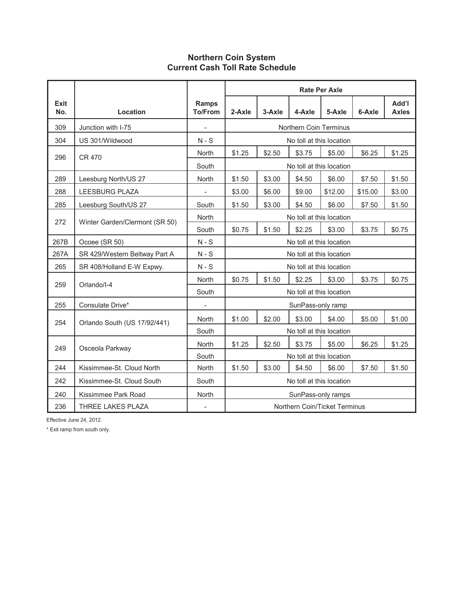## **Northern Coin System Current Cash Toll Rate Schedule**

|                    |                                                                                       |                                | <b>Rate Per Axle</b> |        |                          |         |         |                       |  |  |  |  |
|--------------------|---------------------------------------------------------------------------------------|--------------------------------|----------------------|--------|--------------------------|---------|---------|-----------------------|--|--|--|--|
| <b>Exit</b><br>No. | Location                                                                              | <b>Ramps</b><br><b>To/From</b> | 2-Axle               | 3-Axle | 4-Axle                   | 5-Axle  | 6-Axle  | Add'l<br><b>Axles</b> |  |  |  |  |
| 309                | Junction with I-75                                                                    | $\overline{\phantom{0}}$       |                      |        | Northern Coin Terminus   |         |         |                       |  |  |  |  |
| 304                | US 301/Wildwood                                                                       | $N-S$                          |                      |        | No toll at this location |         |         |                       |  |  |  |  |
| 296                | <b>CR 470</b>                                                                         | North                          | \$1.25               | \$2.50 | \$3.75                   | \$5.00  | \$6.25  | \$1.25                |  |  |  |  |
|                    |                                                                                       | South                          |                      |        | No toll at this location |         |         |                       |  |  |  |  |
| 289                | Leesburg North/US 27                                                                  | North                          | \$1.50               | \$3.00 | \$4.50                   | \$6.00  | \$7.50  | \$1.50                |  |  |  |  |
| 288                | <b>LEESBURG PLAZA</b>                                                                 | $\overline{\phantom{a}}$       | \$3.00               | \$6.00 | \$9.00                   | \$12.00 | \$15.00 | \$3.00                |  |  |  |  |
| 285                | Leesburg South/US 27                                                                  | South                          | \$1.50               | \$3.00 | \$4.50                   | \$6.00  | \$7.50  | \$1.50                |  |  |  |  |
| 272                | Winter Garden/Clermont (SR 50)                                                        | North                          |                      |        | No toll at this location |         |         |                       |  |  |  |  |
|                    |                                                                                       | South                          | \$0.75               | \$1.50 | \$2.25                   | \$3.00  | \$3.75  | \$0.75                |  |  |  |  |
| 267B               | Ocoee (SR 50)                                                                         | $N-S$                          |                      |        | No toll at this location |         |         |                       |  |  |  |  |
| 267A               | SR 429/Western Beltway Part A                                                         | $N-S$                          |                      |        | No toll at this location |         |         |                       |  |  |  |  |
| 265                | SR 408/Holland E-W Expwy.                                                             | $N-S$                          |                      |        | No toll at this location |         |         |                       |  |  |  |  |
| 259                | Orlando/I-4                                                                           | North                          | \$0.75               | \$1.50 | \$2.25                   | \$3.00  | \$3.75  | \$0.75                |  |  |  |  |
|                    |                                                                                       | South                          |                      |        | No toll at this location |         |         |                       |  |  |  |  |
| 255                | Consulate Drive*                                                                      |                                |                      |        | SunPass-only ramp        |         |         |                       |  |  |  |  |
| 254                | Orlando South (US 17/92/441)                                                          | North                          | \$1.00               | \$2.00 | \$3.00                   | \$4.00  | \$5.00  | \$1.00                |  |  |  |  |
|                    |                                                                                       | South                          |                      |        | No toll at this location |         |         |                       |  |  |  |  |
| 249                | Osceola Parkway                                                                       | North                          | \$1.25               | \$2.50 | \$3.75                   | \$5.00  | \$6.25  | \$1.25                |  |  |  |  |
|                    |                                                                                       | South                          |                      |        | No toll at this location |         |         |                       |  |  |  |  |
| 244                | Kissimmee-St. Cloud North                                                             | North                          | \$1.50               | \$3.00 | \$4.50                   | \$6.00  | \$7.50  | \$1.50                |  |  |  |  |
| 242                | Kissimmee-St. Cloud South                                                             | South                          |                      |        | No toll at this location |         |         |                       |  |  |  |  |
| 240                | Kissimmee Park Road                                                                   | North                          |                      |        | SunPass-only ramps       |         |         |                       |  |  |  |  |
| 236                | <b>THREE LAKES PLAZA</b><br>Northern Coin/Ticket Terminus<br>$\overline{\phantom{a}}$ |                                |                      |        |                          |         |         |                       |  |  |  |  |

Effective June 24, 2012.

\* Exit ramp from south only.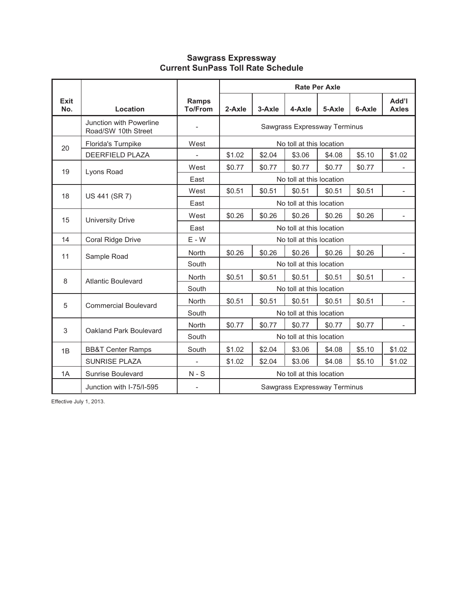## **Sawgrass Expressway Current SunPass Toll Rate Schedule**

|                    |                                                |                                                        | <b>Rate Per Axle</b><br>Add'l |        |                              |        |        |                          |  |  |  |  |
|--------------------|------------------------------------------------|--------------------------------------------------------|-------------------------------|--------|------------------------------|--------|--------|--------------------------|--|--|--|--|
| <b>Exit</b><br>No. | Location                                       | Ramps<br><b>To/From</b>                                | 2-Axle                        | 3-Axle | 4-Axle                       | 5-Axle | 6-Axle | <b>Axles</b>             |  |  |  |  |
|                    | Junction with Powerline<br>Road/SW 10th Street |                                                        |                               |        | Sawgrass Expressway Terminus |        |        |                          |  |  |  |  |
| 20                 | Florida's Turnpike                             | West                                                   |                               |        | No toll at this location     |        |        |                          |  |  |  |  |
|                    | <b>DEERFIELD PLAZA</b>                         | $\overline{\phantom{a}}$                               | \$1.02                        | \$2.04 | \$3.06                       | \$4.08 | \$5.10 | \$1.02                   |  |  |  |  |
| 19                 | Lyons Road                                     | West                                                   | \$0.77                        | \$0.77 | \$0.77                       | \$0.77 | \$0.77 |                          |  |  |  |  |
|                    |                                                | East                                                   |                               |        | No toll at this location     |        |        |                          |  |  |  |  |
| 18                 | US 441 (SR 7)                                  | West                                                   | \$0.51                        | \$0.51 | \$0.51                       | \$0.51 | \$0.51 |                          |  |  |  |  |
|                    |                                                | East<br>No toll at this location                       |                               |        |                              |        |        |                          |  |  |  |  |
| 15                 | <b>University Drive</b>                        | \$0.26<br>\$0.26<br>\$0.26<br>\$0.26<br>\$0.26<br>West |                               |        |                              |        |        |                          |  |  |  |  |
|                    |                                                | East                                                   |                               |        | No toll at this location     |        |        |                          |  |  |  |  |
| 14                 | Coral Ridge Drive                              | $E - W$                                                |                               |        | No toll at this location     |        |        |                          |  |  |  |  |
| 11                 | Sample Road                                    | North                                                  | \$0.26                        | \$0.26 | \$0.26                       | \$0.26 | \$0.26 | $\overline{\phantom{a}}$ |  |  |  |  |
|                    |                                                | South                                                  |                               |        | No toll at this location     |        |        |                          |  |  |  |  |
| 8                  | <b>Atlantic Boulevard</b>                      | <b>North</b>                                           | \$0.51                        | \$0.51 | \$0.51                       | \$0.51 | \$0.51 |                          |  |  |  |  |
|                    |                                                | South                                                  |                               |        | No toll at this location     |        |        |                          |  |  |  |  |
| 5                  | <b>Commercial Boulevard</b>                    | <b>North</b>                                           | \$0.51                        | \$0.51 | \$0.51                       | \$0.51 | \$0.51 |                          |  |  |  |  |
|                    |                                                | South                                                  |                               |        | No toll at this location     |        |        |                          |  |  |  |  |
| 3                  | Oakland Park Boulevard                         | North                                                  | \$0.77                        | \$0.77 | \$0.77                       | \$0.77 | \$0.77 | $\overline{\phantom{a}}$ |  |  |  |  |
|                    |                                                | South                                                  | No toll at this location      |        |                              |        |        |                          |  |  |  |  |
| 1B                 | <b>BB&amp;T Center Ramps</b>                   | South                                                  | \$1.02                        | \$2.04 | \$3.06                       | \$4.08 | \$5.10 | \$1.02                   |  |  |  |  |
|                    | <b>SUNRISE PLAZA</b>                           |                                                        | \$1.02                        | \$2.04 | \$3.06                       | \$4.08 | \$5.10 | \$1.02                   |  |  |  |  |
| 1A                 | Sunrise Boulevard                              | $N-S$                                                  |                               |        | No toll at this location     |        |        |                          |  |  |  |  |
|                    | Junction with I-75/I-595                       |                                                        |                               |        | Sawgrass Expressway Terminus |        |        |                          |  |  |  |  |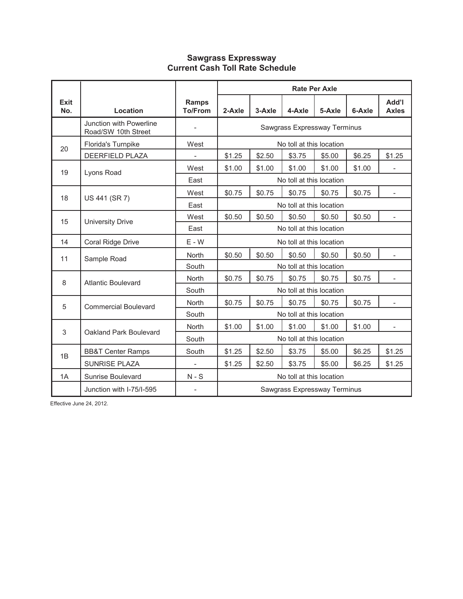#### **Sawgrass Expressway Current Cash Toll Rate Schedule**

|             |                                                |                                |                                                                            |        |                              | <b>Rate Per Axle</b> |        |                          |
|-------------|------------------------------------------------|--------------------------------|----------------------------------------------------------------------------|--------|------------------------------|----------------------|--------|--------------------------|
| Exit<br>No. | Location                                       | <b>Ramps</b><br><b>To/From</b> | 2-Axle                                                                     | 3-Axle | 4-Axle                       | 5-Axle               | 6-Axle | Add'l<br><b>Axles</b>    |
|             | Junction with Powerline<br>Road/SW 10th Street | $\overline{\phantom{0}}$       |                                                                            |        | Sawgrass Expressway Terminus |                      |        |                          |
| 20          | Florida's Turnpike                             | West                           |                                                                            |        | No toll at this location     |                      |        |                          |
|             | <b>DEERFIELD PLAZA</b>                         |                                | \$1.25                                                                     | \$2.50 | \$3.75                       | \$5.00               | \$6.25 | \$1.25                   |
| 19          | Lyons Road                                     | West                           | \$1.00<br>\$1.00<br>\$1.00<br>\$1.00<br>\$1.00                             |        |                              |                      |        |                          |
|             |                                                | East                           | No toll at this location                                                   |        |                              |                      |        |                          |
| 18          | US 441 (SR 7)                                  | West                           | \$0.75<br>\$0.75<br>\$0.75<br>\$0.75<br>\$0.75<br>$\overline{\phantom{a}}$ |        |                              |                      |        |                          |
|             |                                                | East                           | No toll at this location                                                   |        |                              |                      |        |                          |
| 15          | <b>University Drive</b>                        | West                           | \$0.50<br>\$0.50<br>\$0.50<br>\$0.50<br>\$0.50<br>$\overline{\phantom{a}}$ |        |                              |                      |        |                          |
|             |                                                | East                           | No toll at this location                                                   |        |                              |                      |        |                          |
| 14          | Coral Ridge Drive                              | $E - W$                        |                                                                            |        | No toll at this location     |                      |        |                          |
| 11          | Sample Road                                    | <b>North</b>                   | \$0.50                                                                     | \$0.50 | \$0.50                       | \$0.50               | \$0.50 | $\overline{\phantom{a}}$ |
|             |                                                | South                          |                                                                            |        | No toll at this location     |                      |        |                          |
| 8           | <b>Atlantic Boulevard</b>                      | <b>North</b>                   | \$0.75                                                                     | \$0.75 | \$0.75                       | \$0.75               | \$0.75 |                          |
|             |                                                | South                          |                                                                            |        | No toll at this location     |                      |        |                          |
| 5           | <b>Commercial Boulevard</b>                    | <b>North</b>                   | \$0.75                                                                     | \$0.75 | \$0.75                       | \$0.75               | \$0.75 | $\overline{\phantom{a}}$ |
|             |                                                | South                          |                                                                            |        | No toll at this location     |                      |        |                          |
| 3           | Oakland Park Boulevard                         | <b>North</b>                   | \$1.00                                                                     | \$1.00 | \$1.00                       | \$1.00               | \$1.00 | $\overline{\phantom{a}}$ |
|             |                                                | South                          | No toll at this location                                                   |        |                              |                      |        |                          |
| 1B          | <b>BB&amp;T Center Ramps</b>                   | South                          | \$1.25<br>\$2.50<br>\$3.75<br>\$6.25<br>\$1.25<br>\$5.00                   |        |                              |                      |        |                          |
|             | <b>SUNRISE PLAZA</b>                           |                                | \$2.50<br>\$1.25<br>\$3.75<br>\$5.00<br>\$6.25<br>\$1.25                   |        |                              |                      |        |                          |
| 1A          | Sunrise Boulevard                              | $N-S$                          |                                                                            |        | No toll at this location     |                      |        |                          |
|             | Junction with I-75/I-595                       |                                | Sawgrass Expressway Terminus                                               |        |                              |                      |        |                          |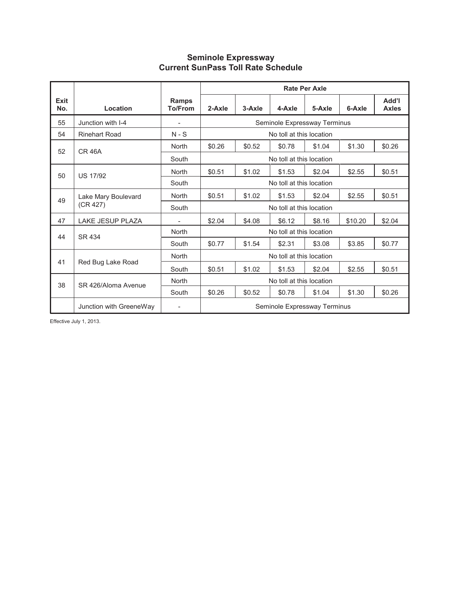#### **Seminole Expressway Current SunPass Toll Rate Schedule**

|             |                         |                                |                                                          |                          |                              | <b>Rate Per Axle</b> |         |                       |  |
|-------------|-------------------------|--------------------------------|----------------------------------------------------------|--------------------------|------------------------------|----------------------|---------|-----------------------|--|
| Exit<br>No. | Location                | <b>Ramps</b><br><b>To/From</b> | 2-Axle                                                   | 3-Axle                   | 4-Axle                       | 5-Axle               | 6-Axle  | Add'l<br><b>Axles</b> |  |
| 55          | Junction with I-4       |                                |                                                          |                          | Seminole Expressway Terminus |                      |         |                       |  |
| 54          | <b>Rinehart Road</b>    | $N-S$                          |                                                          | No toll at this location |                              |                      |         |                       |  |
| 52          | <b>CR 46A</b>           | <b>North</b>                   | \$0.26<br>\$0.52<br>\$0.78<br>\$1.04<br>\$1.30           |                          |                              |                      |         |                       |  |
|             |                         | South                          |                                                          |                          | No toll at this location     |                      |         |                       |  |
| 50          | <b>US 17/92</b>         | <b>North</b>                   | \$0.51<br>\$1.02<br>\$2.04<br>\$2.55<br>\$0.51<br>\$1.53 |                          |                              |                      |         |                       |  |
|             |                         | South                          | No toll at this location                                 |                          |                              |                      |         |                       |  |
| 49          | Lake Mary Boulevard     | <b>North</b>                   | \$0.51                                                   | \$1.02                   | \$1.53                       | \$2.04               | \$2.55  | \$0.51                |  |
|             | (CR 427)                | South                          |                                                          |                          | No toll at this location     |                      |         |                       |  |
| 47          | <b>LAKE JESUP PLAZA</b> |                                | \$2.04                                                   | \$4.08                   | \$6.12                       | \$8.16               | \$10.20 | \$2.04                |  |
| 44          | SR 434                  | <b>North</b>                   |                                                          |                          | No toll at this location     |                      |         |                       |  |
|             |                         | South                          | \$0.77                                                   | \$1.54                   | \$2.31                       | \$3.08               | \$3.85  | \$0.77                |  |
|             |                         | <b>North</b>                   |                                                          |                          | No toll at this location     |                      |         |                       |  |
| 41          | Red Bug Lake Road       | South                          | \$1.02<br>\$2.55<br>\$0.51<br>\$1.53<br>\$2.04           |                          |                              |                      |         |                       |  |
| 38          | SR 426/Aloma Avenue     | <b>North</b>                   |                                                          |                          | No toll at this location     |                      |         |                       |  |
|             |                         | South                          | \$0.26                                                   | \$0.52                   | \$0.78                       | \$1.04               | \$1.30  | \$0.26                |  |
|             | Junction with GreeneWay | $\overline{\phantom{a}}$       | Seminole Expressway Terminus                             |                          |                              |                      |         |                       |  |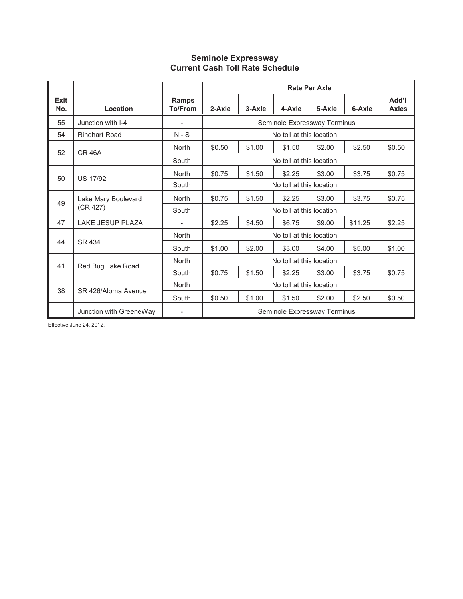# **Seminole Expressway Current Cash Toll Rate Schedule**

|             |                         |                         |                                                          |                          |                              | <b>Rate Per Axle</b> |         |                       |  |
|-------------|-------------------------|-------------------------|----------------------------------------------------------|--------------------------|------------------------------|----------------------|---------|-----------------------|--|
| Exit<br>No. | Location                | Ramps<br><b>To/From</b> | 2-Axle                                                   | 3-Axle                   | 4-Axle                       | 5-Axle               | 6-Axle  | Add'l<br><b>Axles</b> |  |
| 55          | Junction with I-4       |                         |                                                          |                          | Seminole Expressway Terminus |                      |         |                       |  |
| 54          | <b>Rinehart Road</b>    | $N-S$                   |                                                          | No toll at this location |                              |                      |         |                       |  |
| 52          | <b>CR 46A</b>           | North                   | \$0.50                                                   | \$1.00                   | \$1.50                       | \$2.00               | \$2.50  | \$0.50                |  |
|             |                         | South                   |                                                          |                          | No toll at this location     |                      |         |                       |  |
|             |                         | North                   | \$0.75<br>\$3.75<br>\$1.50<br>\$2.25<br>\$3.00<br>\$0.75 |                          |                              |                      |         |                       |  |
| 50          | <b>US 17/92</b>         | South                   | No toll at this location                                 |                          |                              |                      |         |                       |  |
| 49          | Lake Mary Boulevard     | North                   | \$3.75<br>\$0.75<br>\$1.50<br>\$2.25<br>\$3.00           |                          |                              |                      |         |                       |  |
|             | (CR 427)                | South                   |                                                          |                          | No toll at this location     |                      |         |                       |  |
| 47          | <b>LAKE JESUP PLAZA</b> |                         | \$2.25                                                   | \$4.50                   | \$6.75                       | \$9.00               | \$11.25 | \$2.25                |  |
|             |                         | North                   |                                                          |                          | No toll at this location     |                      |         |                       |  |
| 44          | SR 434                  | South                   | \$1.00                                                   | \$2.00                   | \$3.00                       | \$4.00               | \$5.00  | \$1.00                |  |
| 41          |                         | North                   | No toll at this location                                 |                          |                              |                      |         |                       |  |
|             | Red Bug Lake Road       | South                   | \$3.00<br>\$3.75<br>\$0.75<br>\$1.50<br>\$2.25<br>\$0.75 |                          |                              |                      |         |                       |  |
|             |                         | North                   | No toll at this location                                 |                          |                              |                      |         |                       |  |
| 38          | SR 426/Aloma Avenue     | South                   | \$0.50                                                   | \$1.00                   | \$1.50                       | \$2.00               | \$2.50  | \$0.50                |  |
|             | Junction with GreeneWay |                         | Seminole Expressway Terminus                             |                          |                              |                      |         |                       |  |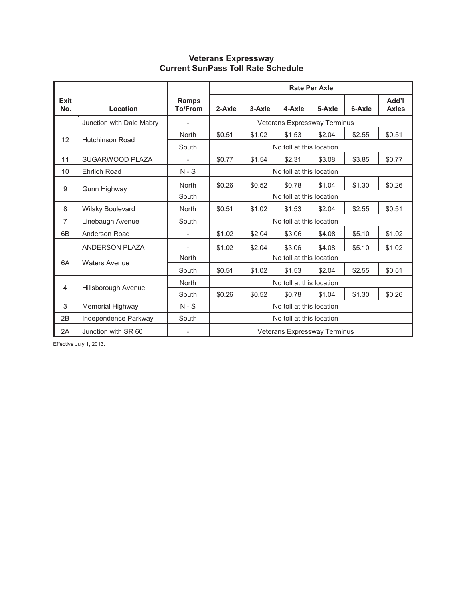### **Veterans Expressway Current SunPass Toll Rate Schedule**

|                    |                          |                                |                                                          | <b>Rate Per Axle</b>                           |                              |        |        |                       |  |
|--------------------|--------------------------|--------------------------------|----------------------------------------------------------|------------------------------------------------|------------------------------|--------|--------|-----------------------|--|
| <b>Exit</b><br>No. | Location                 | <b>Ramps</b><br><b>To/From</b> | 2-Axle                                                   | 3-Axle                                         | 4-Axle                       | 5-Axle | 6-Axle | I'bbA<br><b>Axles</b> |  |
|                    | Junction with Dale Mabry | $\overline{a}$                 |                                                          |                                                | Veterans Expressway Terminus |        |        |                       |  |
| $12 \overline{ }$  | <b>Hutchinson Road</b>   | North                          | \$0.51                                                   | \$1.02                                         | \$1.53                       | \$2.04 | \$2.55 | \$0.51                |  |
|                    |                          | South                          |                                                          |                                                | No toll at this location     |        |        |                       |  |
| 11                 | SUGARWOOD PLAZA          | $\overline{\phantom{0}}$       | \$0.77                                                   | \$3.85<br>\$1.54<br>\$2.31<br>\$3.08<br>\$0.77 |                              |        |        |                       |  |
| 10                 | <b>Ehrlich Road</b>      | $N-S$                          |                                                          |                                                | No toll at this location     |        |        |                       |  |
| 9                  | Gunn Highway             | North                          | \$0.26                                                   | \$0.52                                         | \$0.78                       | \$1.04 | \$1.30 | \$0.26                |  |
|                    |                          | South                          |                                                          |                                                | No toll at this location     |        |        |                       |  |
| 8                  | <b>Wilsky Boulevard</b>  | North                          | \$0.51<br>\$2.04<br>\$2.55<br>\$0.51<br>\$1.02<br>\$1.53 |                                                |                              |        |        |                       |  |
| $\overline{7}$     | Linebaugh Avenue         | South                          |                                                          |                                                | No toll at this location     |        |        |                       |  |
| 6B                 | Anderson Road            | L,                             | \$1.02                                                   | \$2.04                                         | \$3.06                       | \$4.08 | \$5.10 | \$1.02                |  |
|                    | ANDERSON PLAZA           | $\overline{\phantom{0}}$       | \$1.02                                                   | \$2.04                                         | \$3.06                       | \$4.08 | \$5.10 | \$1.02                |  |
| 6A                 | <b>Waters Avenue</b>     | North                          |                                                          |                                                | No toll at this location     |        |        |                       |  |
|                    |                          | South                          | \$0.51                                                   | \$1.02                                         | \$1.53                       | \$2.04 | \$2.55 | \$0.51                |  |
| 4                  | Hillsborough Avenue      | North                          | No toll at this location                                 |                                                |                              |        |        |                       |  |
|                    |                          | South                          | \$0.26<br>\$0.52<br>\$0.78<br>\$1.04<br>\$1.30<br>\$0.26 |                                                |                              |        |        |                       |  |
| 3                  | Memorial Highway         | $N - S$                        | No toll at this location                                 |                                                |                              |        |        |                       |  |
| 2B                 | Independence Parkway     | South                          | No toll at this location                                 |                                                |                              |        |        |                       |  |
| 2A                 | Junction with SR 60      |                                | Veterans Expressway Terminus                             |                                                |                              |        |        |                       |  |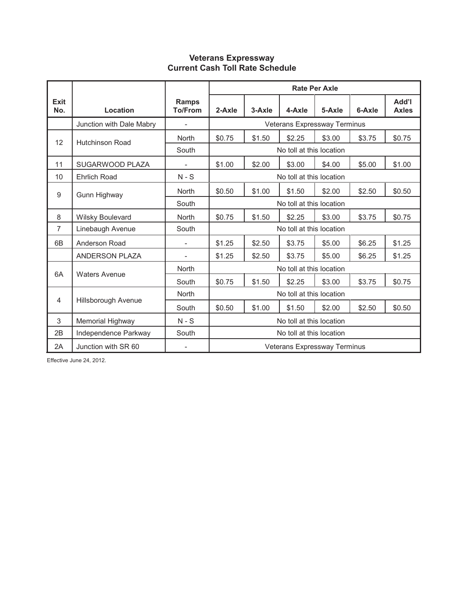## **Veterans Expressway Current Cash Toll Rate Schedule**

|                |                          |                                |                                                          |                                                |                              | <b>Rate Per Axle</b> |        |                              |  |
|----------------|--------------------------|--------------------------------|----------------------------------------------------------|------------------------------------------------|------------------------------|----------------------|--------|------------------------------|--|
| Exit<br>No.    | Location                 | <b>Ramps</b><br><b>To/From</b> | 2-Axle                                                   | 3-Axle                                         | 4-Axle                       | 5-Axle               | 6-Axle | <b>Add'l</b><br><b>Axles</b> |  |
|                | Junction with Dale Mabry | $\overline{\phantom{a}}$       |                                                          |                                                | Veterans Expressway Terminus |                      |        |                              |  |
| 12             | <b>Hutchinson Road</b>   | North                          | \$0.75                                                   | \$1.50                                         | \$2.25                       | \$3.00               | \$3.75 | \$0.75                       |  |
|                |                          | South                          |                                                          |                                                | No toll at this location     |                      |        |                              |  |
| 11             | SUGARWOOD PLAZA          | $\overline{\phantom{a}}$       | \$1.00                                                   | \$2.00<br>\$3.00<br>\$5.00<br>\$1.00<br>\$4.00 |                              |                      |        |                              |  |
| 10             | <b>Ehrlich Road</b>      | $N-S$                          |                                                          |                                                | No toll at this location     |                      |        |                              |  |
| 9              | Gunn Highway             | North                          | \$0.50                                                   | \$1.00                                         | \$1.50                       | \$2.00               | \$2.50 | \$0.50                       |  |
|                |                          | South                          |                                                          |                                                | No toll at this location     |                      |        |                              |  |
| 8              | Wilsky Boulevard         | North                          | \$3.75<br>\$0.75<br>\$1.50<br>\$2.25<br>\$3.00<br>\$0.75 |                                                |                              |                      |        |                              |  |
| 7              | Linebaugh Avenue         | South                          |                                                          |                                                | No toll at this location     |                      |        |                              |  |
| 6 <sub>B</sub> | Anderson Road            |                                | \$1.25                                                   | \$2.50                                         | \$3.75                       | \$5.00               | \$6.25 | \$1.25                       |  |
|                | <b>ANDERSON PLAZA</b>    |                                | \$1.25                                                   | \$2.50                                         | \$3.75                       | \$5.00               | \$6.25 | \$1.25                       |  |
| 6A             | <b>Waters Avenue</b>     | North                          |                                                          |                                                | No toll at this location     |                      |        |                              |  |
|                |                          | South                          | \$0.75                                                   | \$1.50                                         | \$2.25                       | \$3.00               | \$3.75 | \$0.75                       |  |
| $\overline{4}$ |                          | <b>North</b>                   | No toll at this location                                 |                                                |                              |                      |        |                              |  |
|                | Hillsborough Avenue      | South                          | \$2.50<br>\$0.50<br>\$1.00<br>\$1.50<br>\$2.00<br>\$0.50 |                                                |                              |                      |        |                              |  |
| 3              | Memorial Highway         | $N-S$                          | No toll at this location                                 |                                                |                              |                      |        |                              |  |
| 2B             | Independence Parkway     | South                          | No toll at this location                                 |                                                |                              |                      |        |                              |  |
| 2A             | Junction with SR 60      |                                | Veterans Expressway Terminus                             |                                                |                              |                      |        |                              |  |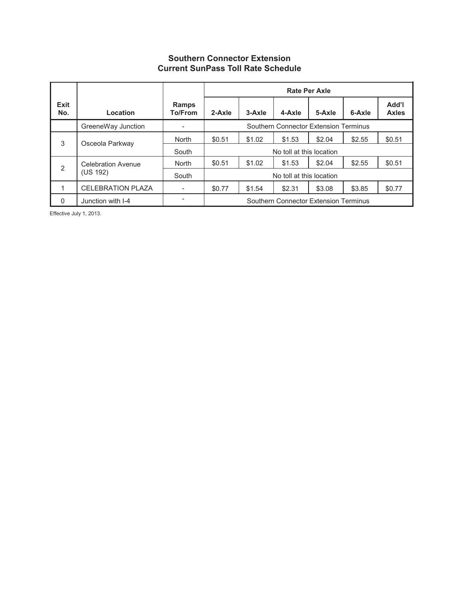## **Southern Connector Extension Current SunPass Toll Rate Schedule**

|             |                           |                          |                                                          | <b>Rate Per Axle</b> |                          |        |        |                       |  |
|-------------|---------------------------|--------------------------|----------------------------------------------------------|----------------------|--------------------------|--------|--------|-----------------------|--|
| Exit<br>No. | Location                  | Ramps<br><b>To/From</b>  | 2-Axle                                                   | 3-Axle               | 4-Axle                   | 5-Axle | 6-Axle | Add'l<br><b>Axles</b> |  |
|             | GreeneWay Junction        | ۰                        | Southern Connector Extension Terminus                    |                      |                          |        |        |                       |  |
| 3           | Osceola Parkway           | North                    | \$1.53<br>\$2.04<br>\$2.55<br>\$0.51<br>\$1.02           |                      |                          |        |        |                       |  |
|             |                           | South                    |                                                          |                      | No toll at this location |        |        |                       |  |
| 2           | <b>Celebration Avenue</b> | <b>North</b>             | \$0.51                                                   | \$1.02               | \$1.53                   | \$2.04 | \$2.55 | \$0.51                |  |
|             | (US 192)                  | South                    | No toll at this location                                 |                      |                          |        |        |                       |  |
| 1           | <b>CELEBRATION PLAZA</b>  | $\overline{\phantom{a}}$ | \$2.31<br>\$3.85<br>\$0.77<br>\$0.77<br>\$1.54<br>\$3.08 |                      |                          |        |        |                       |  |
| 0           | Junction with I-4         |                          | Southern Connector Extension Terminus                    |                      |                          |        |        |                       |  |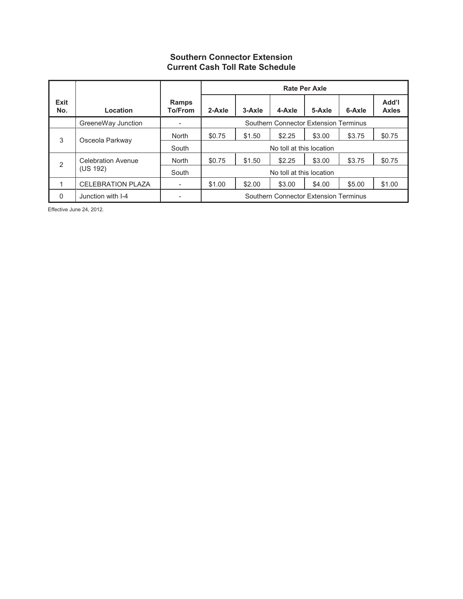## **Southern Connector Extension Current Cash Toll Rate Schedule**

|             |                           |                          |                                                          | <b>Rate Per Axle</b> |                          |        |        |                       |  |
|-------------|---------------------------|--------------------------|----------------------------------------------------------|----------------------|--------------------------|--------|--------|-----------------------|--|
| Exit<br>No. | Location                  | Ramps<br><b>To/From</b>  | 2-Axle                                                   | 3-Axle               | 4-Axle                   | 5-Axle | 6-Axle | Add'l<br><b>Axles</b> |  |
|             | GreeneWay Junction        | -                        | Southern Connector Extension Terminus                    |                      |                          |        |        |                       |  |
| 3           | Osceola Parkway           | <b>North</b>             | \$2.25<br>\$0.75<br>\$1.50<br>\$3.00<br>\$3.75           |                      |                          |        |        |                       |  |
|             |                           | South                    |                                                          |                      | No toll at this location |        |        |                       |  |
| 2           | <b>Celebration Avenue</b> | <b>North</b>             | \$0.75                                                   | \$1.50               | \$2.25                   | \$3.00 | \$3.75 | \$0.75                |  |
|             | (US 192)                  | South                    | No toll at this location                                 |                      |                          |        |        |                       |  |
| 1           | <b>CELEBRATION PLAZA</b>  | $\overline{\phantom{0}}$ | \$1.00<br>\$2.00<br>\$3.00<br>\$5.00<br>\$1.00<br>\$4.00 |                      |                          |        |        |                       |  |
| 0           | Junction with I-4         |                          | Southern Connector Extension Terminus                    |                      |                          |        |        |                       |  |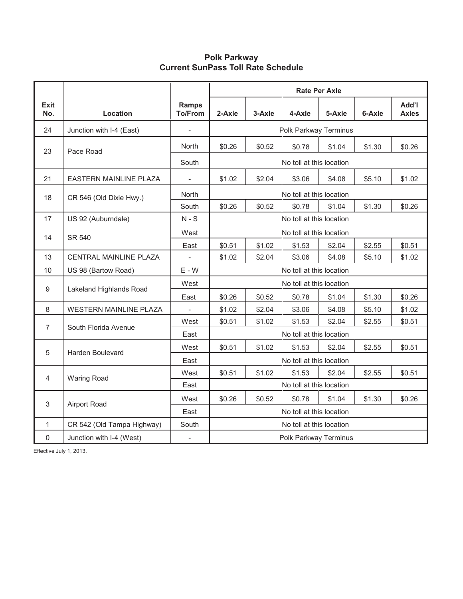### **Polk Parkway Current SunPass Toll Rate Schedule**

|                |                               |                                |                                                          |                                                |                          | Rate Per Axle |        |                       |  |
|----------------|-------------------------------|--------------------------------|----------------------------------------------------------|------------------------------------------------|--------------------------|---------------|--------|-----------------------|--|
| Exit<br>No.    | Location                      | <b>Ramps</b><br><b>To/From</b> | 2-Axle                                                   | 3-Axle                                         | 4-Axle                   | 5-Axle        | 6-Axle | Add'l<br><b>Axles</b> |  |
| 24             | Junction with I-4 (East)      |                                |                                                          |                                                | Polk Parkway Terminus    |               |        |                       |  |
| 23             | Pace Road                     | North                          | \$0.26                                                   | \$0.52                                         | \$0.78                   | \$1.04        | \$1.30 | \$0.26                |  |
|                |                               | South                          |                                                          |                                                | No toll at this location |               |        |                       |  |
| 21             | <b>EASTERN MAINLINE PLAZA</b> |                                | \$1.02                                                   | \$2.04<br>\$3.06<br>\$5.10<br>\$4.08<br>\$1.02 |                          |               |        |                       |  |
| 18             | CR 546 (Old Dixie Hwy.)       | North                          |                                                          |                                                | No toll at this location |               |        |                       |  |
|                |                               | South                          | \$0.26<br>\$1.30<br>\$0.26<br>\$0.52<br>\$0.78<br>\$1.04 |                                                |                          |               |        |                       |  |
| 17             | US 92 (Auburndale)            | $N-S$                          | No toll at this location                                 |                                                |                          |               |        |                       |  |
|                | <b>SR 540</b>                 | West                           | No toll at this location                                 |                                                |                          |               |        |                       |  |
| 14             |                               | East                           | \$0.51<br>\$1.02<br>\$1.53<br>\$2.55<br>\$0.51<br>\$2.04 |                                                |                          |               |        |                       |  |
| 13             | CENTRAL MAINLINE PLAZA        | $\overline{\phantom{a}}$       | \$1.02<br>\$3.06<br>\$5.10<br>\$2.04<br>\$4.08<br>\$1.02 |                                                |                          |               |        |                       |  |
| 10             | US 98 (Bartow Road)           | $E - W$                        |                                                          |                                                | No toll at this location |               |        |                       |  |
| 9              | Lakeland Highlands Road       | West                           |                                                          |                                                | No toll at this location |               |        |                       |  |
|                |                               | East                           | \$0.26                                                   | \$0.52                                         | \$0.78                   | \$1.04        | \$1.30 | \$0.26                |  |
| 8              | <b>WESTERN MAINLINE PLAZA</b> |                                | \$1.02                                                   | \$2.04                                         | \$3.06                   | \$4.08        | \$5.10 | \$1.02                |  |
| $\overline{7}$ | South Florida Avenue          | West                           | \$0.51                                                   | \$1.02                                         | \$1.53                   | \$2.04        | \$2.55 | \$0.51                |  |
|                |                               | East                           |                                                          |                                                | No toll at this location |               |        |                       |  |
| 5              | <b>Harden Boulevard</b>       | West                           | \$0.51                                                   | \$1.02                                         | \$1.53                   | \$2.04        | \$2.55 | \$0.51                |  |
|                |                               | East                           |                                                          |                                                | No toll at this location |               |        |                       |  |
| $\overline{4}$ | <b>Waring Road</b>            | West                           | \$0.51<br>\$1.02<br>\$1.53<br>\$2.04<br>\$2.55<br>\$0.51 |                                                |                          |               |        |                       |  |
|                |                               | East                           | No toll at this location                                 |                                                |                          |               |        |                       |  |
| 3              | Airport Road                  | West                           | \$0.26<br>\$0.52<br>\$0.78<br>\$1.04<br>\$1.30<br>\$0.26 |                                                |                          |               |        |                       |  |
|                |                               | East                           | No toll at this location                                 |                                                |                          |               |        |                       |  |
| $\mathbf{1}$   | CR 542 (Old Tampa Highway)    | South                          |                                                          |                                                | No toll at this location |               |        |                       |  |
| $\mathsf 0$    | Junction with I-4 (West)      | $\overline{\phantom{a}}$       | Polk Parkway Terminus                                    |                                                |                          |               |        |                       |  |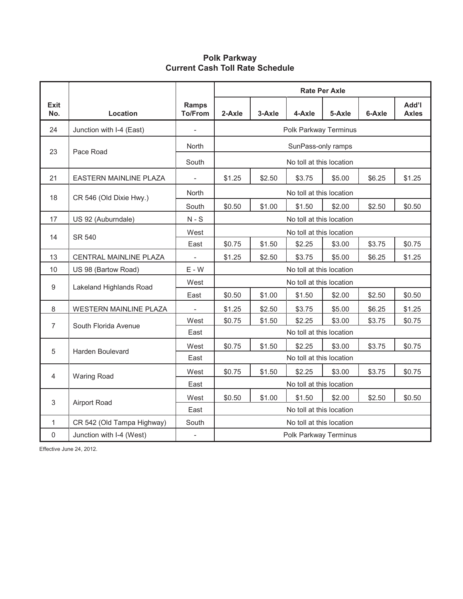# **Polk Parkway Current Cash Toll Rate Schedule**

|                    |                               |                                |                                                          |                                                               |                          | <b>Rate Per Axle</b> |        |        |  |  |
|--------------------|-------------------------------|--------------------------------|----------------------------------------------------------|---------------------------------------------------------------|--------------------------|----------------------|--------|--------|--|--|
| <b>Exit</b><br>No. | Location                      | <b>Ramps</b><br><b>To/From</b> | 2-Axle                                                   | Add'l<br>3-Axle<br>4-Axle<br>5-Axle<br>6-Axle<br><b>Axles</b> |                          |                      |        |        |  |  |
| 24                 | Junction with I-4 (East)      |                                |                                                          | Polk Parkway Terminus                                         |                          |                      |        |        |  |  |
| 23                 | Pace Road                     | North                          |                                                          | SunPass-only ramps                                            |                          |                      |        |        |  |  |
|                    |                               | South                          |                                                          |                                                               | No toll at this location |                      |        |        |  |  |
| 21                 | <b>EASTERN MAINLINE PLAZA</b> | $\overline{\phantom{a}}$       | \$1.25                                                   | \$2.50<br>\$3.75<br>\$5.00<br>\$6.25<br>\$1.25                |                          |                      |        |        |  |  |
| 18                 | CR 546 (Old Dixie Hwy.)       | North                          |                                                          | No toll at this location                                      |                          |                      |        |        |  |  |
|                    |                               | South                          | \$0.50                                                   | \$1.00                                                        | \$1.50                   | \$2.00               | \$2.50 | \$0.50 |  |  |
| 17                 | US 92 (Auburndale)            | $N-S$                          |                                                          |                                                               | No toll at this location |                      |        |        |  |  |
| 14                 | <b>SR 540</b>                 | West                           | No toll at this location                                 |                                                               |                          |                      |        |        |  |  |
|                    |                               | East                           | \$0.75<br>\$1.50<br>\$3.75<br>\$0.75<br>\$2.25<br>\$3.00 |                                                               |                          |                      |        |        |  |  |
| 13                 | CENTRAL MAINLINE PLAZA        |                                | \$1.25<br>\$2.50<br>\$3.75<br>\$5.00<br>\$6.25<br>\$1.25 |                                                               |                          |                      |        |        |  |  |
| 10                 | US 98 (Bartow Road)           | $E - W$                        |                                                          |                                                               | No toll at this location |                      |        |        |  |  |
| 9                  | Lakeland Highlands Road       | West                           |                                                          |                                                               | No toll at this location |                      |        |        |  |  |
|                    |                               | East                           | \$0.50                                                   | \$1.00                                                        | \$1.50                   | \$2.00               | \$2.50 | \$0.50 |  |  |
| 8                  | <b>WESTERN MAINLINE PLAZA</b> |                                | \$1.25                                                   | \$2.50                                                        | \$3.75                   | \$5.00               | \$6.25 | \$1.25 |  |  |
| $\overline{7}$     | South Florida Avenue          | West                           | \$0.75                                                   | \$1.50                                                        | \$2.25                   | \$3.00               | \$3.75 | \$0.75 |  |  |
|                    |                               | East                           |                                                          |                                                               | No toll at this location |                      |        |        |  |  |
| 5                  | <b>Harden Boulevard</b>       | West                           | \$0.75                                                   | \$1.50                                                        | \$2.25                   | \$3.00               | \$3.75 | \$0.75 |  |  |
|                    |                               | East                           |                                                          |                                                               | No toll at this location |                      |        |        |  |  |
| 4                  | <b>Waring Road</b>            | West                           | \$0.75<br>\$1.50<br>\$2.25<br>\$3.00<br>\$3.75<br>\$0.75 |                                                               |                          |                      |        |        |  |  |
|                    |                               | East                           | No toll at this location                                 |                                                               |                          |                      |        |        |  |  |
| 3                  | Airport Road                  | West                           | \$0.50<br>\$1.00<br>\$1.50<br>\$2.00<br>\$2.50<br>\$0.50 |                                                               |                          |                      |        |        |  |  |
|                    |                               | East                           | No toll at this location                                 |                                                               |                          |                      |        |        |  |  |
| $\mathbf{1}$       | CR 542 (Old Tampa Highway)    | South                          |                                                          |                                                               | No toll at this location |                      |        |        |  |  |
| 0                  | Junction with I-4 (West)      | $\overline{\phantom{a}}$       |                                                          | Polk Parkway Terminus                                         |                          |                      |        |        |  |  |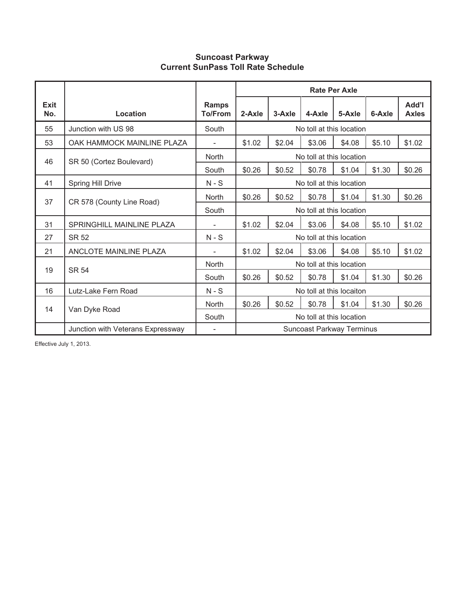## **Suncoast Parkway Current SunPass Toll Rate Schedule**

|                    |                                   |                                |        |        |                                  | <b>Rate Per Axle</b> |        |                       |
|--------------------|-----------------------------------|--------------------------------|--------|--------|----------------------------------|----------------------|--------|-----------------------|
| <b>Exit</b><br>No. | Location                          | <b>Ramps</b><br><b>To/From</b> | 2-Axle | 3-Axle | 4-Axle                           | 5-Axle               | 6-Axle | Add'l<br><b>Axles</b> |
| 55                 | Junction with US 98               | South                          |        |        | No toll at this location         |                      |        |                       |
| 53                 | OAK HAMMOCK MAINLINE PLAZA        |                                | \$1.02 | \$2.04 | \$3.06                           | \$4.08               | \$5.10 | \$1.02                |
| 46                 | SR 50 (Cortez Boulevard)          | <b>North</b>                   |        |        | No toll at this location         |                      |        |                       |
|                    |                                   | South                          | \$0.26 | \$0.52 | \$0.78                           | \$1.04               | \$1.30 | \$0.26                |
| 41                 | Spring Hill Drive                 | $N-S$                          |        |        | No toll at this location         |                      |        |                       |
| 37                 | CR 578 (County Line Road)         | <b>North</b>                   | \$0.26 | \$0.52 | \$0.78                           | \$1.04               | \$1.30 | \$0.26                |
|                    |                                   | South                          |        |        | No toll at this location         |                      |        |                       |
| 31                 | SPRINGHILL MAINLINE PLAZA         |                                | \$1.02 | \$2.04 | \$3.06                           | \$4.08               | \$5.10 | \$1.02                |
| 27                 | <b>SR 52</b>                      | $N-S$                          |        |        | No toll at this location         |                      |        |                       |
| 21                 | ANCLOTE MAINLINE PLAZA            |                                | \$1.02 | \$2.04 | \$3.06                           | \$4.08               | \$5.10 | \$1.02                |
| 19                 | <b>SR 54</b>                      | North                          |        |        | No toll at this location         |                      |        |                       |
|                    |                                   | South                          | \$0.26 | \$0.52 | \$0.78                           | \$1.04               | \$1.30 | \$0.26                |
| 16                 | Lutz-Lake Fern Road               | $N-S$                          |        |        | No toll at this locaiton         |                      |        |                       |
| 14                 | Van Dyke Road                     | <b>North</b>                   | \$0.26 | \$0.52 | \$0.78                           | \$1.04               | \$1.30 | \$0.26                |
|                    |                                   | South                          |        |        | No toll at this location         |                      |        |                       |
|                    | Junction with Veterans Expressway |                                |        |        | <b>Suncoast Parkway Terminus</b> |                      |        |                       |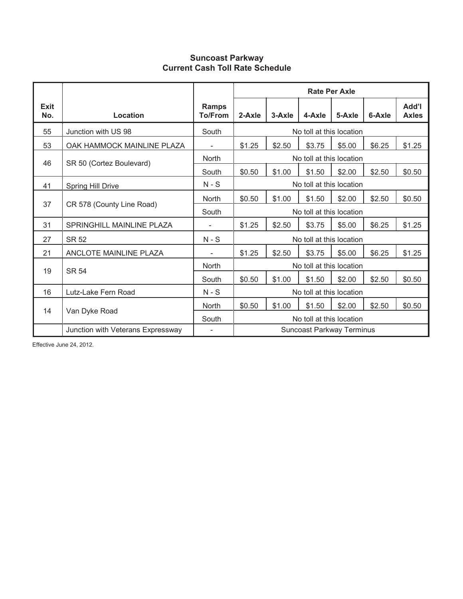## **Suncoast Parkway Current Cash Toll Rate Schedule**

|             |                                   |                                |        |        |                           | <b>Rate Per Axle</b> |        |                       |
|-------------|-----------------------------------|--------------------------------|--------|--------|---------------------------|----------------------|--------|-----------------------|
| Exit<br>No. | Location                          | <b>Ramps</b><br><b>To/From</b> | 2-Axle | 3-Axle | 4-Axle                    | 5-Axle               | 6-Axle | Add'l<br><b>Axles</b> |
| 55          | Junction with US 98               | South                          |        |        | No toll at this location  |                      |        |                       |
| 53          | OAK HAMMOCK MAINLINE PLAZA        |                                | \$1.25 | \$2.50 | \$3.75                    | \$5.00               | \$6.25 | \$1.25                |
| 46          | SR 50 (Cortez Boulevard)          | <b>North</b>                   |        |        | No toll at this location  |                      |        |                       |
|             |                                   | South                          | \$0.50 | \$1.00 | \$1.50                    | \$2.00               | \$2.50 | \$0.50                |
| 41          | <b>Spring Hill Drive</b>          | $N-S$                          |        |        | No toll at this location  |                      |        |                       |
|             |                                   | North                          | \$0.50 | \$1.00 | \$1.50                    | \$2.00               | \$2.50 | \$0.50                |
|             | 37<br>CR 578 (County Line Road)   |                                |        |        | No toll at this location  |                      |        |                       |
| 31          | SPRINGHILL MAINLINE PLAZA         |                                | \$1.25 | \$2.50 | \$3.75                    | \$5.00               | \$6.25 | \$1.25                |
| 27          | <b>SR 52</b>                      | $N-S$                          |        |        | No toll at this location  |                      |        |                       |
| 21          | <b>ANCLOTE MAINLINE PLAZA</b>     | $\overline{\phantom{0}}$       | \$1.25 | \$2.50 | \$3.75                    | \$5.00               | \$6.25 | \$1.25                |
| 19          | <b>SR 54</b>                      | North                          |        |        | No toll at this location  |                      |        |                       |
|             |                                   | South                          | \$0.50 | \$1.00 | \$1.50                    | \$2.00               | \$2.50 | \$0.50                |
| 16          | Lutz-Lake Fern Road               | $N-S$                          |        |        | No toll at this location  |                      |        |                       |
| 14          | Van Dyke Road                     | <b>North</b>                   | \$0.50 | \$1.00 | \$1.50                    | \$2.00               | \$2.50 | \$0.50                |
|             |                                   | South                          |        |        | No toll at this location  |                      |        |                       |
|             | Junction with Veterans Expressway |                                |        |        | Suncoast Parkway Terminus |                      |        |                       |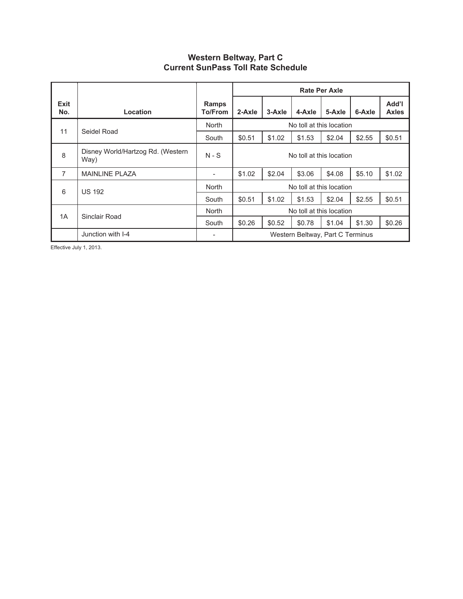| Western Beltway, Part C                   |
|-------------------------------------------|
| <b>Current SunPass Toll Rate Schedule</b> |

|                |                                           |                         | Rate Per Axle                    |        |        |        |        |                       |  |
|----------------|-------------------------------------------|-------------------------|----------------------------------|--------|--------|--------|--------|-----------------------|--|
| Exit<br>No.    | Location                                  | Ramps<br><b>To/From</b> | 2-Axle                           | 3-Axle | 4-Axle | 5-Axle | 6-Axle | Add'l<br><b>Axles</b> |  |
| 11             | Seidel Road                               | <b>North</b>            | No toll at this location         |        |        |        |        |                       |  |
|                |                                           | South                   | \$0.51                           | \$1.02 | \$1.53 | \$2.04 | \$2.55 | \$0.51                |  |
| 8              | Disney World/Hartzog Rd. (Western<br>Way) | $N-S$                   | No toll at this location         |        |        |        |        |                       |  |
| $\overline{7}$ | <b>MAINLINE PLAZA</b>                     | -                       | \$1.02                           | \$2.04 | \$3.06 | \$4.08 | \$5.10 | \$1.02                |  |
| 6              | <b>US 192</b>                             | <b>North</b>            | No toll at this location         |        |        |        |        |                       |  |
|                |                                           | South                   | \$0.51                           | \$1.02 | \$1.53 | \$2.04 | \$2.55 | \$0.51                |  |
| 1A             | Sinclair Road                             | <b>North</b>            | No toll at this location         |        |        |        |        |                       |  |
|                |                                           | South                   | \$0.26                           | \$0.52 | \$0.78 | \$1.04 | \$1.30 | \$0.26                |  |
|                | Junction with I-4                         |                         | Western Beltway, Part C Terminus |        |        |        |        |                       |  |